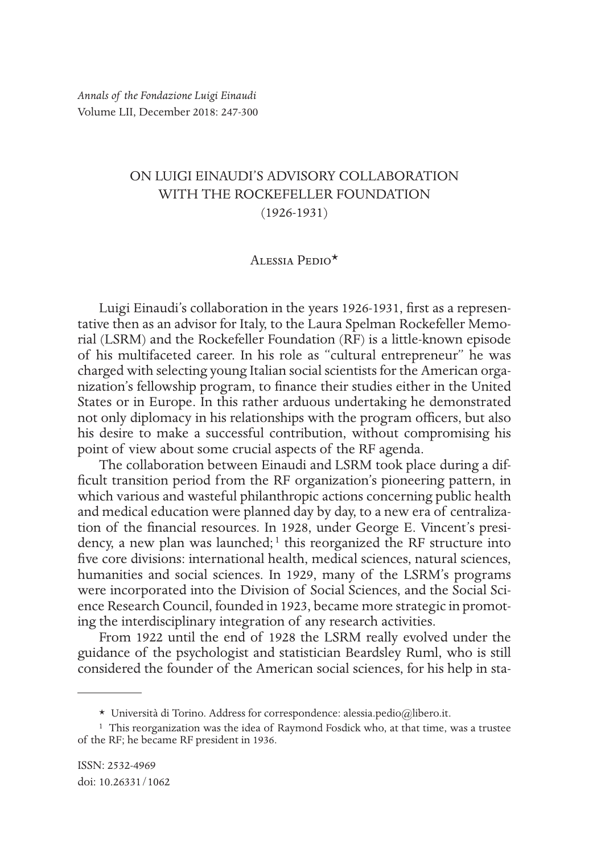# ON LUIGI EINAUDI'S ADVISORY COLLABORATION WITH THE ROCKEFELLER FOUNDATION (1926-1931)

# Alessia Pedio\*

Luigi Einaudi's collaboration in the years 1926-1931, first as a representative then as an advisor for Italy, to the Laura Spelman Rockefeller Memorial (LSRM) and the Rockefeller Foundation (RF) is a little-known episode of his multifaceted career. In his role as "cultural entrepreneur" he was charged with selecting young Italian social scientists for the American organization's fellowship program, to finance their studies either in the United States or in Europe. In this rather arduous undertaking he demonstrated not only diplomacy in his relationships with the program officers, but also his desire to make a successful contribution, without compromising his point of view about some crucial aspects of the RF agenda.

The collaboration between Einaudi and LSRM took place during a difficult transition period from the RF organization's pioneering pattern, in which various and wasteful philanthropic actions concerning public health and medical education were planned day by day, to a new era of centralization of the financial resources. In 1928, under George E. Vincent's presidency, a new plan was launched;<sup>1</sup> this reorganized the RF structure into five core divisions: international health, medical sciences, natural sciences, humanities and social sciences. In 1929, many of the LSRM's programs were incorporated into the Division of Social Sciences, and the Social Science Research Council, founded in 1923, became more strategic in promoting the interdisciplinary integration of any research activities.

From 1922 until the end of 1928 the LSRM really evolved under the guidance of the psychologist and statistician Beardsley Ruml, who is still considered the founder of the American social sciences, for his help in sta-

<sup>\*</sup> Università di Torino. Address for correspondence: alessia.pedio@libero.it.

<sup>&</sup>lt;sup>1</sup> This reorganization was the idea of Raymond Fosdick who, at that time, was a trustee of the RF; he became RF president in 1936.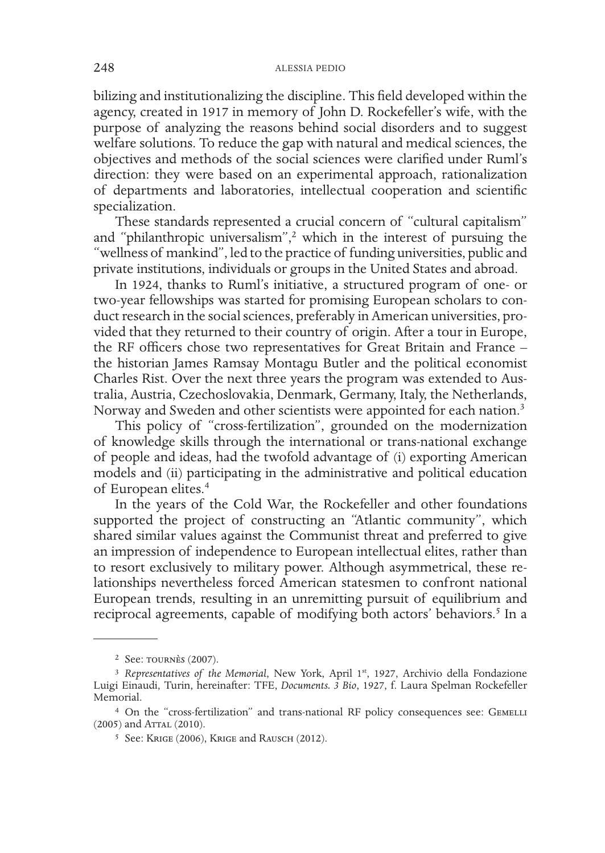bilizing and institutionalizing the discipline. This field developed within the agency, created in 1917 in memory of John D. Rockefeller's wife, with the purpose of analyzing the reasons behind social disorders and to suggest welfare solutions. To reduce the gap with natural and medical sciences, the objectives and methods of the social sciences were clarified under Ruml's direction: they were based on an experimental approach, rationalization of departments and laboratories, intellectual cooperation and scientific specialization.

These standards represented a crucial concern of "cultural capitalism" and "philanthropic universalism",<sup>2</sup> which in the interest of pursuing the "wellness of mankind", led to the practice of funding universities, public and private institutions, individuals or groups in the United States and abroad.

In 1924, thanks to Ruml's initiative, a structured program of one- or two-year fellowships was started for promising European scholars to conduct research in the social sciences, preferably in American universities, provided that they returned to their country of origin. After a tour in Europe, the RF officers chose two representatives for Great Britain and France – the historian James Ramsay Montagu Butler and the political economist Charles Rist. Over the next three years the program was extended to Australia, Austria, Czechoslovakia, Denmark, Germany, Italy, the Netherlands, Norway and Sweden and other scientists were appointed for each nation.<sup>3</sup>

This policy of "cross-fertilization", grounded on the modernization of knowledge skills through the international or trans-national exchange of people and ideas, had the twofold advantage of (i) exporting American models and (ii) participating in the administrative and political education of European elites.4

In the years of the Cold War, the Rockefeller and other foundations supported the project of constructing an "Atlantic community", which shared similar values against the Communist threat and preferred to give an impression of independence to European intellectual elites, rather than to resort exclusively to military power. Although asymmetrical, these relationships nevertheless forced American statesmen to confront national European trends, resulting in an unremitting pursuit of equilibrium and reciprocal agreements, capable of modifying both actors' behaviors.<sup>5</sup> In a

<sup>2</sup> See: tournès (2007).

<sup>&</sup>lt;sup>3</sup> Representatives of the Memorial, New York, April 1<sup>st</sup>, 1927, Archivio della Fondazione Luigi Einaudi, Turin, hereinafter: TFE, *Documents. 3 Bio*, 1927, f. Laura Spelman Rockefeller Memorial.

<sup>&</sup>lt;sup>4</sup> On the "cross-fertilization" and trans-national RF policy consequences see: GEMELLI (2005) and ATTAL (2010).

<sup>5</sup> See: Krige (2006), Krige and Rausch (2012).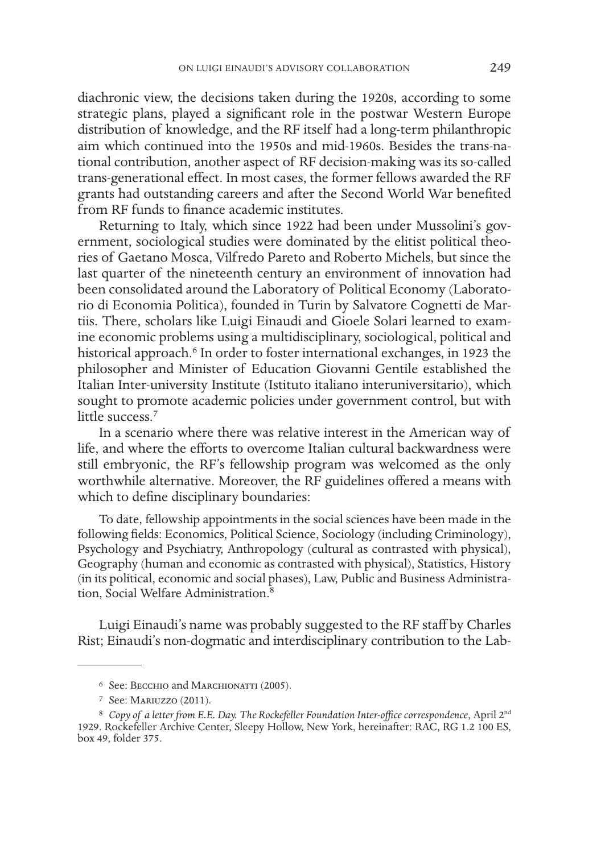diachronic view, the decisions taken during the 1920s, according to some strategic plans, played a significant role in the postwar Western Europe distribution of knowledge, and the RF itself had a long-term philanthropic aim which continued into the 1950s and mid-1960s. Besides the trans-national contribution, another aspect of RF decision-making was its so-called trans-generational effect. In most cases, the former fellows awarded the RF grants had outstanding careers and after the Second World War benefited from RF funds to finance academic institutes.

Returning to Italy, which since 1922 had been under Mussolini's government, sociological studies were dominated by the elitist political theories of Gaetano Mosca, Vilfredo Pareto and Roberto Michels, but since the last quarter of the nineteenth century an environment of innovation had been consolidated around the Laboratory of Political Economy (Laboratorio di Economia Politica), founded in Turin by Salvatore Cognetti de Martiis. There, scholars like Luigi Einaudi and Gioele Solari learned to examine economic problems using a multidisciplinary, sociological, political and historical approach.<sup>6</sup> In order to foster international exchanges, in 1923 the philosopher and Minister of Education Giovanni Gentile established the Italian Inter-university Institute (Istituto italiano interuniversitario), which sought to promote academic policies under government control, but with little success<sup>7</sup>

In a scenario where there was relative interest in the American way of life, and where the efforts to overcome Italian cultural backwardness were still embryonic, the RF's fellowship program was welcomed as the only worthwhile alternative. Moreover, the RF guidelines offered a means with which to define disciplinary boundaries:

To date, fellowship appointments in the social sciences have been made in the following fields: Economics, Political Science, Sociology (including Criminology), Psychology and Psychiatry, Anthropology (cultural as contrasted with physical), Geography (human and economic as contrasted with physical), Statistics, History (in its political, economic and social phases), Law, Public and Business Administration, Social Welfare Administration.8

Luigi Einaudi's name was probably suggested to the RF staff by Charles Rist; Einaudi's non-dogmatic and interdisciplinary contribution to the Lab-

<sup>6</sup> See: Becchio and Marchionatti (2005).

<sup>7</sup> See: Mariuzzo (2011).

<sup>8</sup> *Copy of a letter from E.E. Day. The Rockefeller Foundation Inter-office correspondence*, April 2nd 1929. Rockefeller Archive Center, Sleepy Hollow, New York, hereinafter: RAC, RG 1.2 100 ES, box 49, folder 375.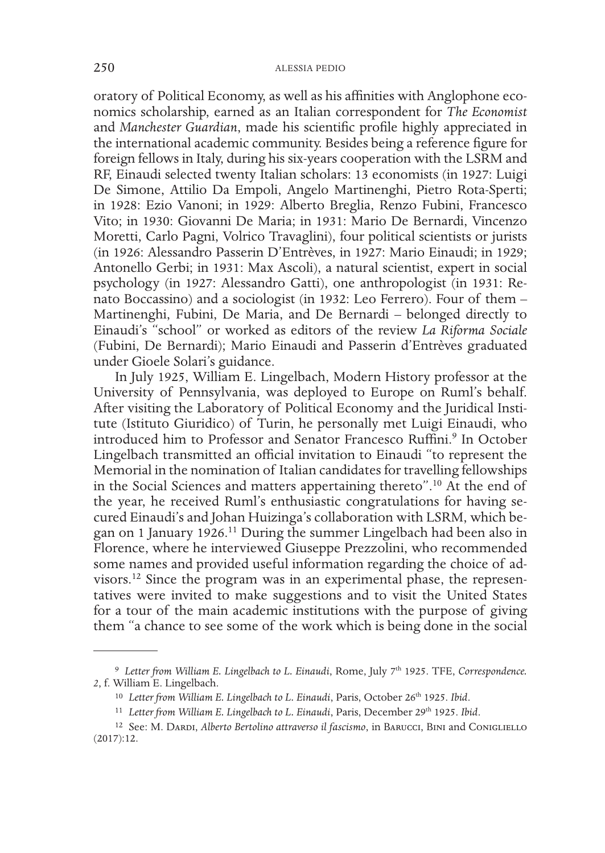oratory of Political Economy, as well as his affinities with Anglophone economics scholarship, earned as an Italian correspondent for *The Economist*  and *Manchester Guardian*, made his scientific profile highly appreciated in the international academic community. Besides being a reference figure for foreign fellows in Italy, during his six-years cooperation with the LSRM and RF, Einaudi selected twenty Italian scholars: 13 economists (in 1927: Luigi De Simone, Attilio Da Empoli, Angelo Martinenghi, Pietro Rota-Sperti; in 1928: Ezio Vanoni; in 1929: Alberto Breglia, Renzo Fubini, Francesco Vito; in 1930: Giovanni De Maria; in 1931: Mario De Bernardi, Vincenzo Moretti, Carlo Pagni, Volrico Travaglini), four political scientists or jurists (in 1926: Alessandro Passerin D'Entrèves, in 1927: Mario Einaudi; in 1929; Antonello Gerbi; in 1931: Max Ascoli), a natural scientist, expert in social psychology (in 1927: Alessandro Gatti), one anthropologist (in 1931: Renato Boccassino) and a sociologist (in 1932: Leo Ferrero). Four of them – Martinenghi, Fubini, De Maria, and De Bernardi – belonged directly to Einaudi's "school" or worked as editors of the review *La Riforma Sociale*  (Fubini, De Bernardi); Mario Einaudi and Passerin d'Entrèves graduated under Gioele Solari's guidance.

In July 1925, William E. Lingelbach, Modern History professor at the University of Pennsylvania, was deployed to Europe on Ruml's behalf. After visiting the Laboratory of Political Economy and the Juridical Institute (Istituto Giuridico) of Turin, he personally met Luigi Einaudi, who introduced him to Professor and Senator Francesco Ruffini.<sup>9</sup> In October Lingelbach transmitted an official invitation to Einaudi "to represent the Memorial in the nomination of Italian candidates for travelling fellowships in the Social Sciences and matters appertaining thereto".10 At the end of the year, he received Ruml's enthusiastic congratulations for having secured Einaudi's and Johan Huizinga's collaboration with LSRM, which began on 1 January 1926.<sup>11</sup> During the summer Lingelbach had been also in Florence, where he interviewed Giuseppe Prezzolini, who recommended some names and provided useful information regarding the choice of advisors.12 Since the program was in an experimental phase, the representatives were invited to make suggestions and to visit the United States for a tour of the main academic institutions with the purpose of giving them "a chance to see some of the work which is being done in the social

<sup>9</sup> *Letter from William E. Lingelbach to L. Einaudi*, Rome, July 7th 1925. TFE, *Correspondence. 2*, f. William E. Lingelbach.

<sup>&</sup>lt;sup>10</sup> Letter from William E. Lingelbach to L. Einaudi, Paris, October 26<sup>th</sup> 1925. Ibid.

<sup>&</sup>lt;sup>11</sup> Letter from William E. Lingelbach to L. Einaudi, Paris, December 29<sup>th</sup> 1925. Ibid.

<sup>&</sup>lt;sup>12</sup> See: M. Dardi, *Alberto Bertolino attraverso il fascismo*, in Barucci, Bini and Conigliello (2017):12.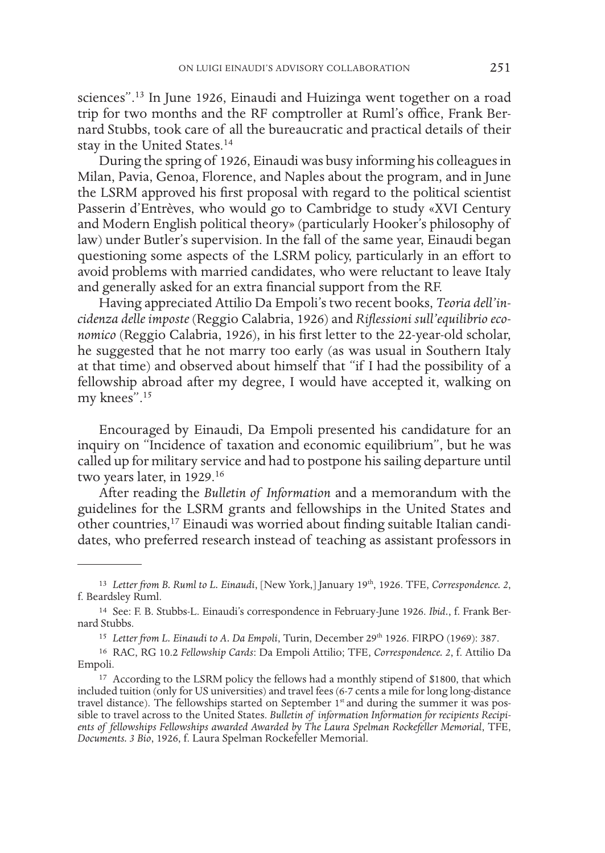sciences".13 In June 1926, Einaudi and Huizinga went together on a road trip for two months and the RF comptroller at Ruml's office, Frank Bernard Stubbs, took care of all the bureaucratic and practical details of their stay in the United States.14

During the spring of 1926, Einaudi was busy informing his colleagues in Milan, Pavia, Genoa, Florence, and Naples about the program, and in June the LSRM approved his first proposal with regard to the political scientist Passerin d'Entrèves, who would go to Cambridge to study «XVI Century and Modern English political theory» (particularly Hooker's philosophy of law) under Butler's supervision. In the fall of the same year, Einaudi began questioning some aspects of the LSRM policy, particularly in an effort to avoid problems with married candidates, who were reluctant to leave Italy and generally asked for an extra financial support from the RF.

Having appreciated Attilio Da Empoli's two recent books, *Teoria dell'incidenza delle imposte* (Reggio Calabria, 1926) and *Riflessioni sull'equilibrio economico* (Reggio Calabria, 1926), in his first letter to the 22-year-old scholar, he suggested that he not marry too early (as was usual in Southern Italy at that time) and observed about himself that "if I had the possibility of a fellowship abroad after my degree, I would have accepted it, walking on my knees".15

Encouraged by Einaudi, Da Empoli presented his candidature for an inquiry on "Incidence of taxation and economic equilibrium", but he was called up for military service and had to postpone his sailing departure until two years later, in 1929.<sup>16</sup>

After reading the *Bulletin of Information* and a memorandum with the guidelines for the LSRM grants and fellowships in the United States and other countries,17 Einaudi was worried about finding suitable Italian candidates, who preferred research instead of teaching as assistant professors in

<sup>&</sup>lt;sup>13</sup> Letter from B. Ruml to L. Einaudi, [New York,] January 19<sup>th</sup>, 1926. TFE, *Correspondence. 2*, f. Beardsley Ruml.

<sup>14</sup> See: F. B. Stubbs-L. Einaudi's correspondence in February-June 1926. *Ibid.*, f. Frank Bernard Stubbs.

<sup>&</sup>lt;sup>15</sup> Letter from L. Einaudi to A. Da Empoli, Turin, December 29<sup>th</sup> 1926. FIRPO (1969): 387.

<sup>16</sup> RAC, RG 10.2 *Fellowship Cards*: Da Empoli Attilio; TFE, *Correspondence. 2*, f. Attilio Da Empoli.

<sup>&</sup>lt;sup>17</sup> According to the LSRM policy the fellows had a monthly stipend of \$1800, that which included tuition (only for US universities) and travel fees (6-7 cents a mile for long long-distance travel distance). The fellowships started on September 1<sup>st</sup> and during the summer it was possible to travel across to the United States. *Bulletin of information Information for recipients Recipients of fellowships Fellowships awarded Awarded by The Laura Spelman Rockefeller Memorial*, TFE, *Documents. 3 Bio*, 1926, f. Laura Spelman Rockefeller Memorial.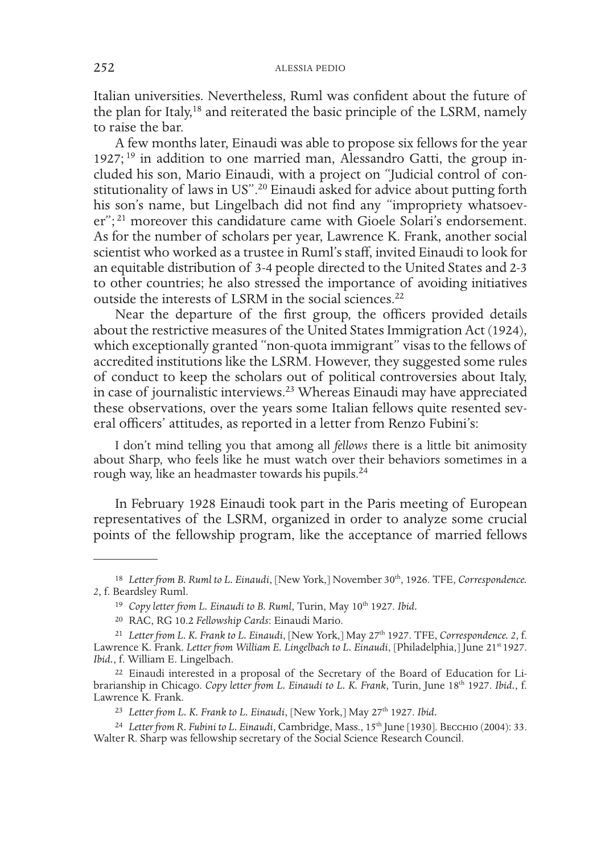Italian universities. Nevertheless, Ruml was confident about the future of the plan for Italy,<sup>18</sup> and reiterated the basic principle of the LSRM, namely to raise the bar.

A few months later, Einaudi was able to propose six fellows for the year 1927; 19 in addition to one married man, Alessandro Gatti, the group included his son, Mario Einaudi, with a project on "Judicial control of constitutionality of laws in US".20 Einaudi asked for advice about putting forth his son's name, but Lingelbach did not find any "impropriety whatsoever";<sup>21</sup> moreover this candidature came with Gioele Solari's endorsement. As for the number of scholars per year, Lawrence K. Frank, another social scientist who worked as a trustee in Ruml's staff, invited Einaudi to look for an equitable distribution of 3-4 people directed to the United States and 2-3 to other countries; he also stressed the importance of avoiding initiatives outside the interests of LSRM in the social sciences.22

Near the departure of the first group, the officers provided details about the restrictive measures of the United States Immigration Act (1924), which exceptionally granted "non-quota immigrant" visas to the fellows of accredited institutions like the LSRM. However, they suggested some rules of conduct to keep the scholars out of political controversies about Italy, in case of journalistic interviews.23 Whereas Einaudi may have appreciated these observations, over the years some Italian fellows quite resented several officers' attitudes, as reported in a letter from Renzo Fubini's:

I don't mind telling you that among all *fellows* there is a little bit animosity about Sharp, who feels like he must watch over their behaviors sometimes in a rough way, like an headmaster towards his pupils.24

In February 1928 Einaudi took part in the Paris meeting of European representatives of the LSRM, organized in order to analyze some crucial points of the fellowship program, like the acceptance of married fellows

<sup>&</sup>lt;sup>18</sup> Letter from B. Ruml to L. Einaudi, [New York,] November 30<sup>th</sup>, 1926. TFE, *Correspondence*. *2*, f. Beardsley Ruml.

<sup>&</sup>lt;sup>19</sup> *Copy letter from L. Einaudi to B. Ruml*, Turin, May 10<sup>th</sup> 1927. *Ibid.* 

<sup>20</sup> RAC, RG 10.2 *Fellowship Cards*: Einaudi Mario.

<sup>21</sup> *Letter from L. K. Frank to L. Einaudi*, [New York,] May 27th 1927. TFE, *Correspondence. 2*, f. Lawrence K. Frank. *Letter from William E. Lingelbach to L. Einaudi*, [Philadelphia,] June 21<sup>st</sup> 1927. Ibid., f. William E. Lingelbach.

<sup>22</sup> Einaudi interested in a proposal of the Secretary of the Board of Education for Librarianship in Chicago. *Copy letter from L. Einaudi to L. K. Frank*, Turin, June 18th 1927. *Ibid.*, f. Lawrence K. Frank.

<sup>&</sup>lt;sup>23</sup> Letter from L. K. Frank to L. Einaudi, [New York,] May 27<sup>th</sup> 1927. *Ibid.* 

<sup>&</sup>lt;sup>24</sup> Letter from R. Fubini to L. Einaudi, Cambridge, Mass., 15<sup>th</sup> June [1930]. BECCHIO (2004): 33. Walter R. Sharp was fellowship secretary of the Social Science Research Council.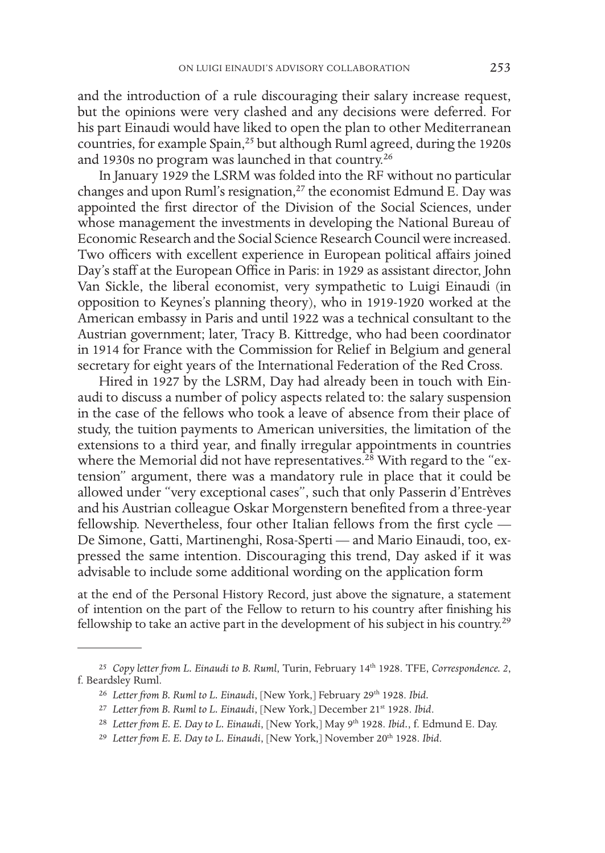and the introduction of a rule discouraging their salary increase request, but the opinions were very clashed and any decisions were deferred. For his part Einaudi would have liked to open the plan to other Mediterranean countries, for example Spain,<sup>25</sup> but although Ruml agreed, during the 1920s and 1930s no program was launched in that country.26

In January 1929 the LSRM was folded into the RF without no particular changes and upon Ruml's resignation,<sup>27</sup> the economist Edmund E. Day was appointed the first director of the Division of the Social Sciences, under whose management the investments in developing the National Bureau of Economic Research and the Social Science Research Council were increased. Two officers with excellent experience in European political affairs joined Day's staff at the European Office in Paris: in 1929 as assistant director, John Van Sickle, the liberal economist, very sympathetic to Luigi Einaudi (in opposition to Keynes's planning theory), who in 1919-1920 worked at the American embassy in Paris and until 1922 was a technical consultant to the Austrian government; later, Tracy B. Kittredge, who had been coordinator in 1914 for France with the Commission for Relief in Belgium and general secretary for eight years of the International Federation of the Red Cross.

Hired in 1927 by the LSRM, Day had already been in touch with Einaudi to discuss a number of policy aspects related to: the salary suspension in the case of the fellows who took a leave of absence from their place of study, the tuition payments to American universities, the limitation of the extensions to a third year, and finally irregular appointments in countries where the Memorial did not have representatives.<sup>28</sup> With regard to the "extension" argument, there was a mandatory rule in place that it could be allowed under "very exceptional cases", such that only Passerin d'Entrèves and his Austrian colleague Oskar Morgenstern benefited from a three-year fellowship. Nevertheless, four other Italian fellows from the first cycle — De Simone, Gatti, Martinenghi, Rosa-Sperti — and Mario Einaudi, too, expressed the same intention. Discouraging this trend, Day asked if it was advisable to include some additional wording on the application form

at the end of the Personal History Record, just above the signature, a statement of intention on the part of the Fellow to return to his country after finishing his fellowship to take an active part in the development of his subject in his country.<sup>29</sup>

<sup>25</sup> *Copy letter from L. Einaudi to B. Ruml*, Turin, February 14th 1928. TFE, *Correspondence. 2*, f. Beardsley Ruml.

<sup>26</sup> *Letter from B. Ruml to L. Einaudi*, [New York,] February 29th 1928. *Ibid.*

<sup>27</sup> *Letter from B. Ruml to L. Einaudi*, [New York,] December 21st 1928. *Ibid*.

<sup>&</sup>lt;sup>28</sup> Letter from E. E. Day to L. Einaudi, [New York,] May 9<sup>th</sup> 1928. *Ibid.*, f. Edmund E. Day.

<sup>&</sup>lt;sup>29</sup> Letter from E. E. Day to L. Einaudi, [New York,] November 20<sup>th</sup> 1928. Ibid.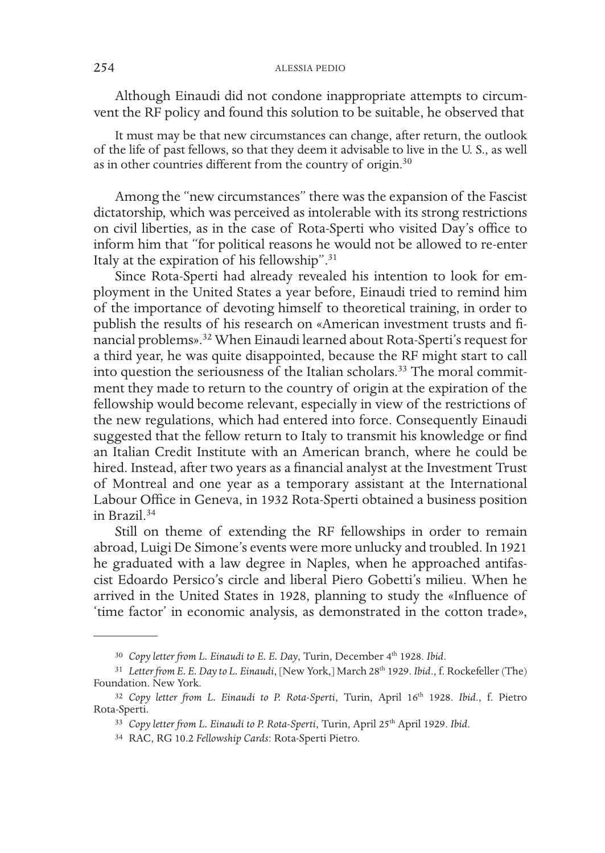# 254 ALESSIA PEDIO

Although Einaudi did not condone inappropriate attempts to circumvent the RF policy and found this solution to be suitable, he observed that

It must may be that new circumstances can change, after return, the outlook of the life of past fellows, so that they deem it advisable to live in the U. S., as well as in other countries different from the country of origin.<sup>30</sup>

Among the "new circumstances" there was the expansion of the Fascist dictatorship, which was perceived as intolerable with its strong restrictions on civil liberties, as in the case of Rota-Sperti who visited Day's office to inform him that "for political reasons he would not be allowed to re-enter Italy at the expiration of his fellowship".31

Since Rota-Sperti had already revealed his intention to look for employment in the United States a year before, Einaudi tried to remind him of the importance of devoting himself to theoretical training, in order to publish the results of his research on «American investment trusts and financial problems».32 When Einaudi learned about Rota-Sperti's request for a third year, he was quite disappointed, because the RF might start to call into question the seriousness of the Italian scholars.<sup>33</sup> The moral commitment they made to return to the country of origin at the expiration of the fellowship would become relevant, especially in view of the restrictions of the new regulations, which had entered into force. Consequently Einaudi suggested that the fellow return to Italy to transmit his knowledge or find an Italian Credit Institute with an American branch, where he could be hired. Instead, after two years as a financial analyst at the Investment Trust of Montreal and one year as a temporary assistant at the International Labour Office in Geneva, in 1932 Rota-Sperti obtained a business position in Brazil.34

Still on theme of extending the RF fellowships in order to remain abroad, Luigi De Simone's events were more unlucky and troubled. In 1921 he graduated with a law degree in Naples, when he approached antifascist Edoardo Persico's circle and liberal Piero Gobetti's milieu. When he arrived in the United States in 1928, planning to study the «Influence of 'time factor' in economic analysis, as demonstrated in the cotton trade»,

<sup>&</sup>lt;sup>30</sup> Copy letter from L. Einaudi to E. E. Day, Turin, December 4<sup>th</sup> 1928. Ibid.

<sup>&</sup>lt;sup>31</sup> Letter from E. E. Day to L. Einaudi, [New York,] March 28<sup>th</sup> 1929. *Ibid.*, f. Rockefeller (The) Foundation. New York.

<sup>&</sup>lt;sup>32</sup> Copy letter from L. Einaudi to P. Rota-Sperti, Turin, April 16<sup>th</sup> 1928. Ibid., f. Pietro Rota-Sperti.

<sup>33</sup> *Copy letter from L. Einaudi to P. Rota-Sperti*, Turin, April 25th April 1929. *Ibid*.

<sup>34</sup> RAC, RG 10.2 *Fellowship Cards*: Rota-Sperti Pietro.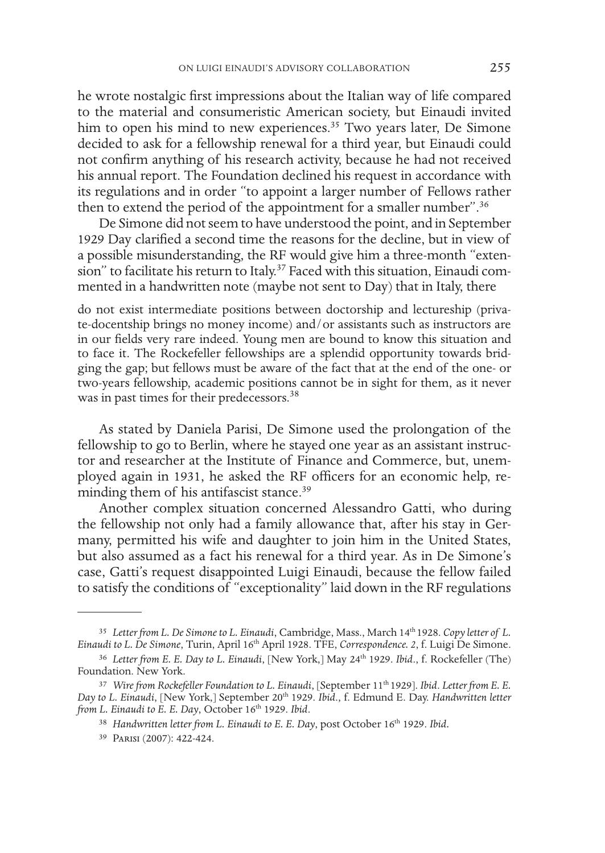he wrote nostalgic first impressions about the Italian way of life compared to the material and consumeristic American society, but Einaudi invited him to open his mind to new experiences.<sup>35</sup> Two years later, De Simone decided to ask for a fellowship renewal for a third year, but Einaudi could not confirm anything of his research activity, because he had not received his annual report. The Foundation declined his request in accordance with its regulations and in order "to appoint a larger number of Fellows rather then to extend the period of the appointment for a smaller number".<sup>36</sup>

De Simone did not seem to have understood the point, and in September 1929 Day clarified a second time the reasons for the decline, but in view of a possible misunderstanding, the RF would give him a three-month "extension" to facilitate his return to Italy.<sup>37</sup> Faced with this situation, Einaudi commented in a handwritten note (maybe not sent to Day) that in Italy, there

do not exist intermediate positions between doctorship and lectureship (private-docentship brings no money income) and/or assistants such as instructors are in our fields very rare indeed. Young men are bound to know this situation and to face it. The Rockefeller fellowships are a splendid opportunity towards bridging the gap; but fellows must be aware of the fact that at the end of the one- or two-years fellowship, academic positions cannot be in sight for them, as it never was in past times for their predecessors.<sup>38</sup>

As stated by Daniela Parisi, De Simone used the prolongation of the fellowship to go to Berlin, where he stayed one year as an assistant instructor and researcher at the Institute of Finance and Commerce, but, unemployed again in 1931, he asked the RF officers for an economic help, reminding them of his antifascist stance.<sup>39</sup>

Another complex situation concerned Alessandro Gatti, who during the fellowship not only had a family allowance that, after his stay in Germany, permitted his wife and daughter to join him in the United States, but also assumed as a fact his renewal for a third year. As in De Simone's case, Gatti's request disappointed Luigi Einaudi, because the fellow failed to satisfy the conditions of "exceptionality" laid down in the RF regulations

<sup>35</sup> *Letter from L. De Simone to L. Einaudi*, Cambridge, Mass., March 14th 1928. *Copy letter of L. Einaudi to L. De Simone*, Turin, April 16th April 1928. TFE, *Correspondence. 2*, f. Luigi De Simone.

<sup>&</sup>lt;sup>36</sup> Letter from E. E. Day to L. Einaudi, [New York,] May 24<sup>th</sup> 1929. *Ibid.*, f. Rockefeller (The) Foundation. New York.

<sup>37</sup> *Wire from Rockefeller Foundation to L. Einaudi*, [September 11th 1929]. *Ibid*. *Letter from E. E. Day to L. Einaudi*, [New York,] September 20th 1929. *Ibid*., f. Edmund E. Day. *Handwritten letter from L. Einaudi to E. E. Day*, October 16th 1929. *Ibid*.

<sup>38</sup> *Handwritten letter from L. Einaudi to E. E. Day*, post October 16th 1929. *Ibid.*

<sup>39</sup> Parisi (2007): 422-424.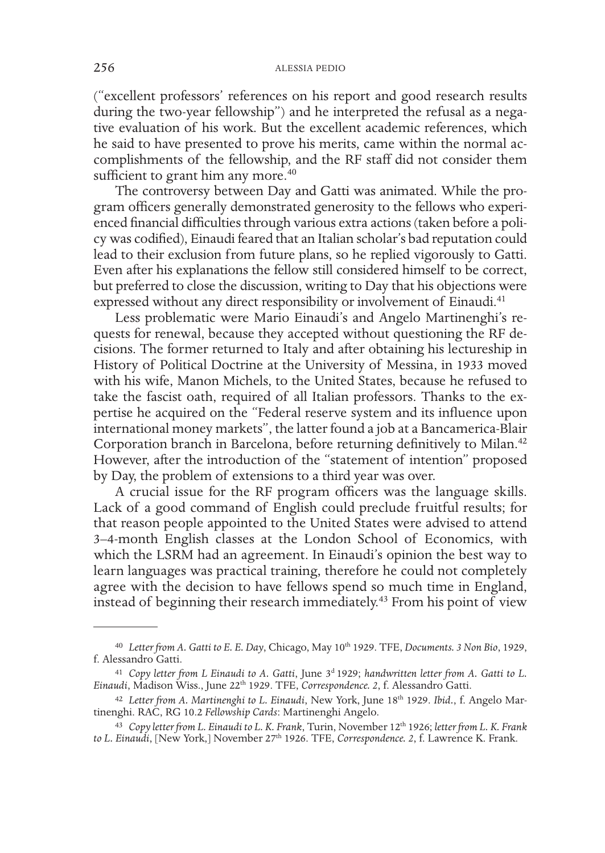("excellent professors' references on his report and good research results during the two-year fellowship") and he interpreted the refusal as a negative evaluation of his work. But the excellent academic references, which he said to have presented to prove his merits, came within the normal accomplishments of the fellowship, and the RF staff did not consider them sufficient to grant him any more.<sup>40</sup>

The controversy between Day and Gatti was animated. While the program officers generally demonstrated generosity to the fellows who experienced financial difficulties through various extra actions (taken before a policy was codified), Einaudi feared that an Italian scholar's bad reputation could lead to their exclusion from future plans, so he replied vigorously to Gatti. Even after his explanations the fellow still considered himself to be correct, but preferred to close the discussion, writing to Day that his objections were expressed without any direct responsibility or involvement of Einaudi.<sup>41</sup>

Less problematic were Mario Einaudi's and Angelo Martinenghi's requests for renewal, because they accepted without questioning the RF decisions. The former returned to Italy and after obtaining his lectureship in History of Political Doctrine at the University of Messina, in 1933 moved with his wife, Manon Michels, to the United States, because he refused to take the fascist oath, required of all Italian professors. Thanks to the expertise he acquired on the "Federal reserve system and its influence upon international money markets", the latter found a job at a Bancamerica-Blair Corporation branch in Barcelona, before returning definitively to Milan.42 However, after the introduction of the "statement of intention" proposed by Day, the problem of extensions to a third year was over.

A crucial issue for the RF program officers was the language skills. Lack of a good command of English could preclude fruitful results; for that reason people appointed to the United States were advised to attend 3–4-month English classes at the London School of Economics, with which the LSRM had an agreement. In Einaudi's opinion the best way to learn languages was practical training, therefore he could not completely agree with the decision to have fellows spend so much time in England, instead of beginning their research immediately.43 From his point of view

<sup>&</sup>lt;sup>40</sup> Letter from A. Gatti to E. E. Day, Chicago, May 10<sup>th</sup> 1929. TFE, Documents. 3 Non Bio, 1929, f. Alessandro Gatti.

<sup>41</sup> *Copy letter from L Einaudi to A. Gatti*, June 3d 1929; *handwritten letter from A. Gatti to L. Einaudi*, Madison Wiss., June 22th 1929. TFE, *Correspondence. 2*, f. Alessandro Gatti.

<sup>42</sup> *Letter from A. Martinenghi to L. Einaudi*, New York, June 18th 1929. *Ibid.*, f. Angelo Mar- tinenghi. RAC, RG 10.2 *Fellowship Cards*: Martinenghi Angelo.

<sup>43</sup> *Copy letter from L. Einaudi to L. K. Frank*, Turin, November 12th 1926; *letter from L. K. Frank*  to L. Einaudi, [New York,] November 27<sup>th</sup> 1926. TFE, *Correspondence. 2*, f. Lawrence K. Frank.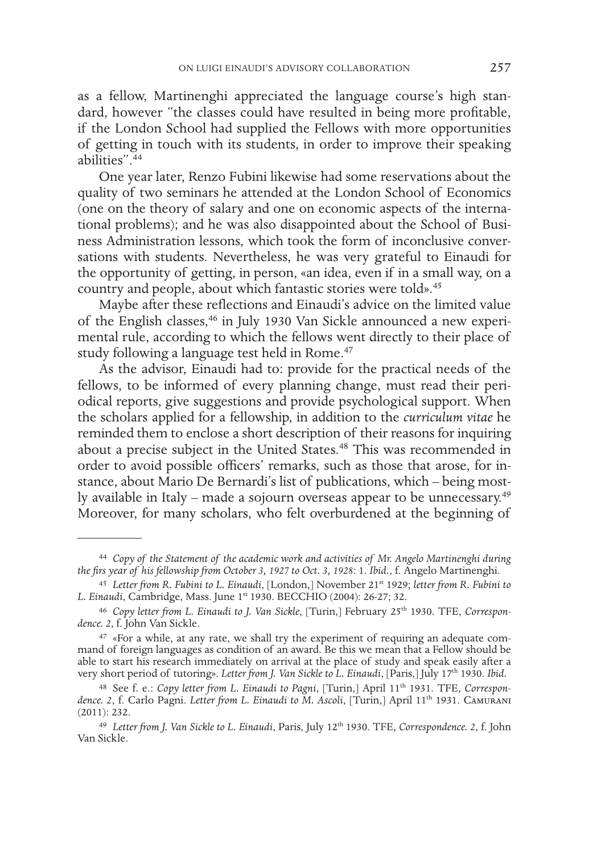as a fellow, Martinenghi appreciated the language course's high standard, however "the classes could have resulted in being more profitable, if the London School had supplied the Fellows with more opportunities of getting in touch with its students, in order to improve their speaking abilities"  $44$ 

One year later, Renzo Fubini likewise had some reservations about the quality of two seminars he attended at the London School of Economics (one on the theory of salary and one on economic aspects of the international problems); and he was also disappointed about the School of Business Administration lessons, which took the form of inconclusive conversations with students. Nevertheless, he was very grateful to Einaudi for the opportunity of getting, in person, «an idea, even if in a small way, on a country and people, about which fantastic stories were told».45

Maybe after these reflections and Einaudi's advice on the limited value of the English classes,46 in July 1930 Van Sickle announced a new experimental rule, according to which the fellows went directly to their place of study following a language test held in Rome.<sup>47</sup>

As the advisor, Einaudi had to: provide for the practical needs of the fellows, to be informed of every planning change, must read their periodical reports, give suggestions and provide psychological support. When the scholars applied for a fellowship, in addition to the *curriculum vitae* he reminded them to enclose a short description of their reasons for inquiring about a precise subject in the United States.48 This was recommended in order to avoid possible officers' remarks, such as those that arose, for instance, about Mario De Bernardi's list of publications, which – being mostly available in Italy – made a sojourn overseas appear to be unnecessary.<sup>49</sup> Moreover, for many scholars, who felt overburdened at the beginning of

<sup>44</sup> *Copy of the Statement of the academic work and activities of Mr. Angelo Martinenghi during the firs year of his fellowship from October 3, 1927 to Oct. 3, 1928*: 1. *Ibid.*, f. Angelo Martinenghi.

<sup>45</sup> *Letter from R. Fubini to L. Einaudi*, [London,] November 21st 1929; *letter from R. Fubini to L. Einaudi*, Cambridge, Mass. June 1st 1930. BECCHIO (2004): 26-27; 32.

<sup>46</sup> *Copy letter from L. Einaudi to J. Van Sickle*, [Turin,] February 25th 1930. TFE, *Correspon- dence. 2*, f. John Van Sickle.

<sup>47</sup> «For a while, at any rate, we shall try the experiment of requiring an adequate command of foreign languages as condition of an award. Be this we mean that a Fellow should be able to start his research immediately on arrival at the place of study and speak easily after a very short period of tutoring». Letter from J. Van Sickle to L. Einaudi, [Paris,] July 17<sup>th</sup> 1930. *Ibid.* 

<sup>48</sup> See f. e.: *Copy letter from L. Einaudi to Pagni*, [Turin,] April 11th 1931. TFE, *Correspondence. 2*, f. Carlo Pagni. *Letter from L. Einaudi to M. Ascoli*, [Turin,] April 11th 1931. Camurani (2011): 232.

<sup>&</sup>lt;sup>49</sup> Letter from J. Van Sickle to L. Einaudi, Paris, July 12<sup>th</sup> 1930. TFE, *Correspondence. 2*, f. John Van Sickle.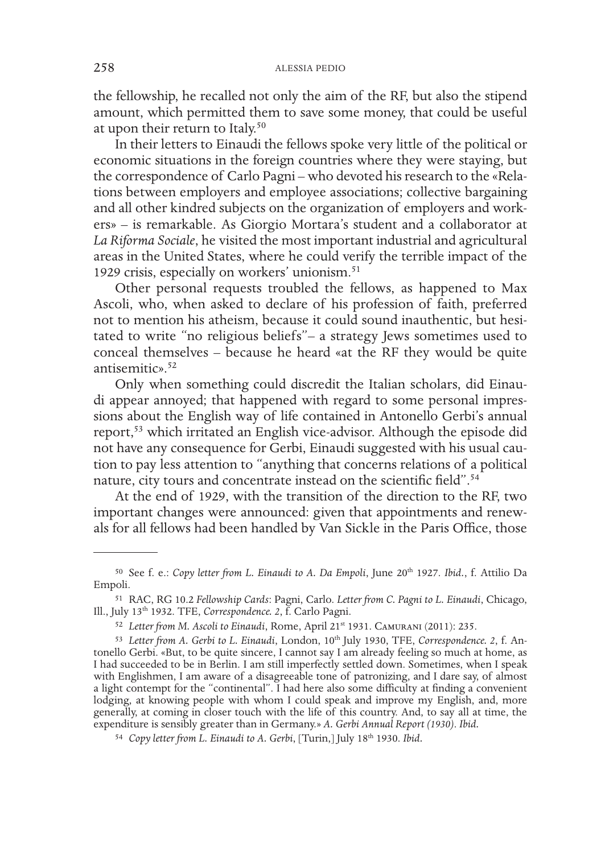the fellowship, he recalled not only the aim of the RF, but also the stipend amount, which permitted them to save some money, that could be useful at upon their return to Italy.<sup>50</sup>

In their letters to Einaudi the fellows spoke very little of the political or economic situations in the foreign countries where they were staying, but the correspondence of Carlo Pagni – who devoted his research to the «Relations between employers and employee associations; collective bargaining and all other kindred subjects on the organization of employers and workers» – is remarkable. As Giorgio Mortara's student and a collaborator at *La Riforma Sociale*, he visited the most important industrial and agricultural areas in the United States, where he could verify the terrible impact of the 1929 crisis, especially on workers' unionism.<sup>51</sup>

Other personal requests troubled the fellows, as happened to Max Ascoli, who, when asked to declare of his profession of faith, preferred not to mention his atheism, because it could sound inauthentic, but hesitated to write "no religious beliefs"– a strategy Jews sometimes used to conceal themselves – because he heard «at the RF they would be quite antisemitic».<sup>52</sup>

Only when something could discredit the Italian scholars, did Einaudi appear annoyed; that happened with regard to some personal impressions about the English way of life contained in Antonello Gerbi's annual report,53 which irritated an English vice-advisor. Although the episode did not have any consequence for Gerbi, Einaudi suggested with his usual caution to pay less attention to "anything that concerns relations of a political nature, city tours and concentrate instead on the scientific field".54

At the end of 1929, with the transition of the direction to the RF, two important changes were announced: given that appointments and renewals for all fellows had been handled by Van Sickle in the Paris Office, those

<sup>50</sup> See f. e.: *Copy letter from L. Einaudi to A. Da Empoli*, June 20th 1927. *Ibid.*, f. Attilio Da Empoli.

<sup>51</sup> RAC, RG 10.2 *Fellowship Cards*: Pagni, Carlo. *Letter from C. Pagni to L. Einaudi*, Chicago, Ill., July 13th 1932. TFE, *Correspondence. 2*, f. Carlo Pagni.

<sup>52</sup> *Letter from M. Ascoli to Einaudi*, Rome, April 21st 1931. Camurani (2011): 235.

<sup>&</sup>lt;sup>53</sup> *Letter from A. Gerbi to L. Einaudi*, London, 10<sup>th</sup> July 1930, TFE, *Correspondence. 2*, f. Antonello Gerbi. «But, to be quite sincere, I cannot say I am already feeling so much at home, as I had succeeded to be in Berlin. I am still imperfectly settled down. Sometimes, when I speak with Englishmen, I am aware of a disagreeable tone of patronizing, and I dare say, of almost a light contempt for the "continental". I had here also some difficulty at finding a convenient lodging, at knowing people with whom I could speak and improve my English, and, more generally, at coming in closer touch with the life of this country. And, to say all at time, the expenditure is sensibly greater than in Germany.» *A. Gerbi Annual Report (1930)*. *Ibid.*

<sup>54</sup> *Copy letter from L. Einaudi to A. Gerbi*, [Turin,] July 18th 1930. *Ibid.*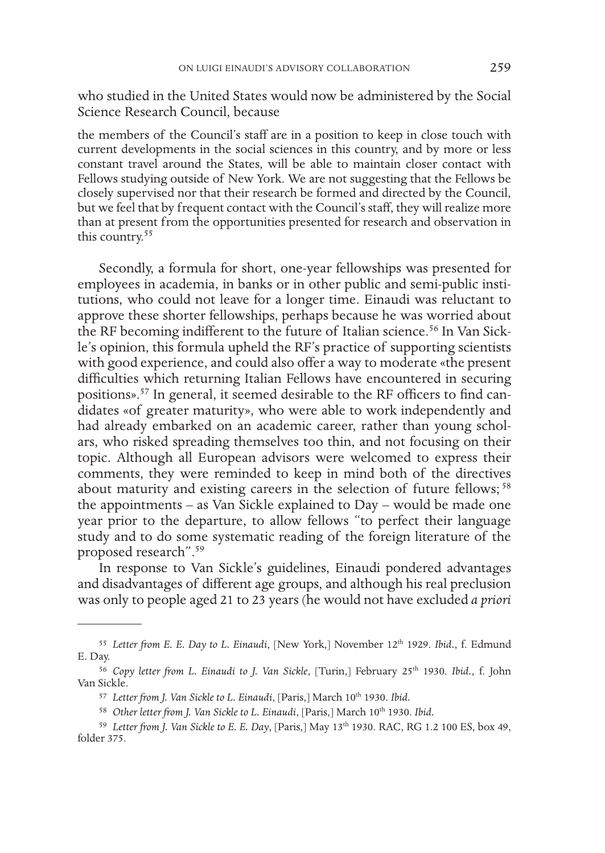who studied in the United States would now be administered by the Social Science Research Council, because

the members of the Council's staff are in a position to keep in close touch with current developments in the social sciences in this country, and by more or less constant travel around the States, will be able to maintain closer contact with Fellows studying outside of New York. We are not suggesting that the Fellows be closely supervised nor that their research be formed and directed by the Council, but we feel that by frequent contact with the Council's staff, they will realize more than at present from the opportunities presented for research and observation in this country.55

Secondly, a formula for short, one-year fellowships was presented for employees in academia, in banks or in other public and semi-public institutions, who could not leave for a longer time. Einaudi was reluctant to approve these shorter fellowships, perhaps because he was worried about the RF becoming indifferent to the future of Italian science.<sup>56</sup> In Van Sickle's opinion, this formula upheld the RF's practice of supporting scientists with good experience, and could also offer a way to moderate «the present difficulties which returning Italian Fellows have encountered in securing positions».57 In general, it seemed desirable to the RF officers to find candidates «of greater maturity», who were able to work independently and had already embarked on an academic career, rather than young scholars, who risked spreading themselves too thin, and not focusing on their topic. Although all European advisors were welcomed to express their comments, they were reminded to keep in mind both of the directives about maturity and existing careers in the selection of future fellows;<sup>58</sup> the appointments – as Van Sickle explained to Day – would be made one year prior to the departure, to allow fellows "to perfect their language study and to do some systematic reading of the foreign literature of the proposed research".59

In response to Van Sickle's guidelines, Einaudi pondered advantages and disadvantages of different age groups, and although his real preclusion was only to people aged 21 to 23 years (he would not have excluded *a priori*

<sup>55</sup> *Letter from E. E. Day to L. Einaudi*, [New York,] November 12th 1929. *Ibid.*, f. Edmund E. Day.

<sup>56</sup> *Copy letter from L. Einaudi to J. Van Sickle*, [Turin,] February 25th 1930. *Ibid.*, f. John Van Sickle.

<sup>&</sup>lt;sup>57</sup> Letter from J. Van Sickle to L. Einaudi, [Paris,] March 10<sup>th</sup> 1930. Ibid.

<sup>&</sup>lt;sup>58</sup> Other letter from J. Van Sickle to L. Einaudi, [Paris,] March 10<sup>th</sup> 1930. Ibid.

<sup>59</sup> *Letter from J. Van Sickle to E. E. Day*, [Paris,] May 13th 1930. RAC, RG 1.2 100 ES, box 49, folder 375.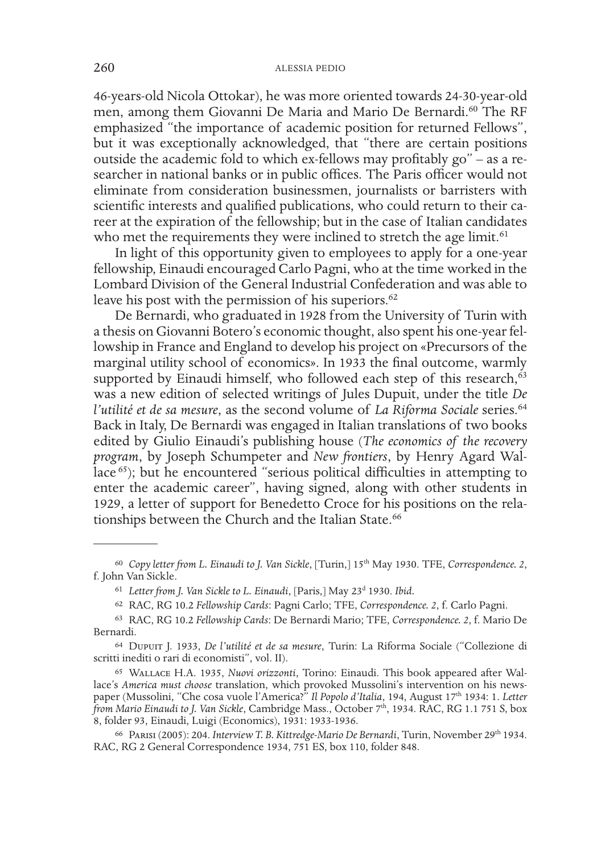46-years-old Nicola Ottokar), he was more oriented towards 24-30-year-old men, among them Giovanni De Maria and Mario De Bernardi.<sup>60</sup> The RF emphasized "the importance of academic position for returned Fellows", but it was exceptionally acknowledged, that "there are certain positions outside the academic fold to which ex-fellows may profitably go" – as a researcher in national banks or in public offices. The Paris officer would not eliminate from consideration businessmen, journalists or barristers with scientific interests and qualified publications, who could return to their career at the expiration of the fellowship; but in the case of Italian candidates who met the requirements they were inclined to stretch the age limit.<sup>61</sup>

In light of this opportunity given to employees to apply for a one-year fellowship, Einaudi encouraged Carlo Pagni, who at the time worked in the Lombard Division of the General Industrial Confederation and was able to leave his post with the permission of his superiors.<sup>62</sup>

De Bernardi, who graduated in 1928 from the University of Turin with a thesis on Giovanni Botero's economic thought, also spent his one-year fellowship in France and England to develop his project on «Precursors of the marginal utility school of economics». In 1933 the final outcome, warmly supported by Einaudi himself, who followed each step of this research, $63$ was a new edition of selected writings of Jules Dupuit, under the title *De l'utilité et de sa mesure*, as the second volume of *La Riforma Sociale* series.<sup>64</sup> Back in Italy, De Bernardi was engaged in Italian translations of two books edited by Giulio Einaudi's publishing house (*The economics of the recovery program*, by Joseph Schumpeter and *New frontiers*, by Henry Agard Wallace 65); but he encountered "serious political difficulties in attempting to enter the academic career", having signed, along with other students in 1929, a letter of support for Benedetto Croce for his positions on the relationships between the Church and the Italian State.<sup>66</sup>

<sup>60</sup> *Copy letter from L. Einaudi to J. Van Sickle*, [Turin,] 15th May 1930. TFE, *Correspondence. 2*, f. John Van Sickle.

<sup>&</sup>lt;sup>61</sup> Letter from J. Van Sickle to L. Einaudi, [Paris,] May 23<sup>d</sup> 1930. Ibid.

<sup>62</sup> RAC, RG 10.2 *Fellowship Cards*: Pagni Carlo; TFE, *Correspondence. 2*, f. Carlo Pagni.

<sup>63</sup> RAC, RG 10.2 *Fellowship Cards*: De Bernardi Mario; TFE, *Correspondence. 2*, f. Mario De Bernardi.

<sup>64</sup> Dupuit J. 1933, *De l'utilité et de sa mesure*, Turin: La Riforma Sociale ("Collezione di scritti inediti o rari di economisti", vol. II).

<sup>65</sup> Wallace H.A. 1935, *Nuovi orizzonti*, Torino: Einaudi. This book appeared after Wallace's *America must choose* translation, which provoked Mussolini's intervention on his newspaper (Mussolini, "Che cosa vuole l'America?" *Il Popolo d'Italia*, 194, August 17<sup>th</sup> 1934: 1. *Letter from Mario Einaudi to J. Van Sickle*, Cambridge Mass., October 7th, 1934. RAC, RG 1.1 751 S, box 8, folder 93, Einaudi, Luigi (Economics), 1931: 1933-1936.

<sup>66</sup> Parisi (2005): 204. *Interview T. B. Kittredge-Mario De Bernardi*, Turin, November 29th 1934. RAC, RG 2 General Correspondence 1934, 751 ES, box 110, folder 848.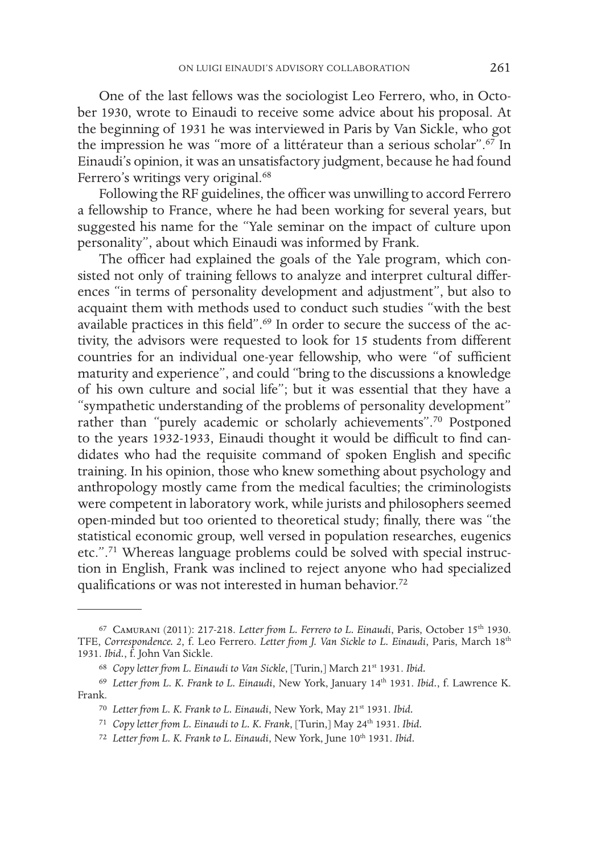One of the last fellows was the sociologist Leo Ferrero, who, in October 1930, wrote to Einaudi to receive some advice about his proposal. At the beginning of 1931 he was interviewed in Paris by Van Sickle, who got the impression he was "more of a littérateur than a serious scholar".67 In Einaudi's opinion, it was an unsatisfactory judgment, because he had found Ferrero's writings very original.<sup>68</sup>

Following the RF guidelines, the officer was unwilling to accord Ferrero a fellowship to France, where he had been working for several years, but suggested his name for the "Yale seminar on the impact of culture upon personality", about which Einaudi was informed by Frank.

The officer had explained the goals of the Yale program, which consisted not only of training fellows to analyze and interpret cultural differences "in terms of personality development and adjustment", but also to acquaint them with methods used to conduct such studies "with the best available practices in this field".<sup>69</sup> In order to secure the success of the activity, the advisors were requested to look for 15 students from different countries for an individual one-year fellowship, who were "of sufficient maturity and experience", and could "bring to the discussions a knowledge of his own culture and social life"; but it was essential that they have a "sympathetic understanding of the problems of personality development" rather than "purely academic or scholarly achievements".70 Postponed to the years 1932-1933, Einaudi thought it would be difficult to find candidates who had the requisite command of spoken English and specific training. In his opinion, those who knew something about psychology and anthropology mostly came from the medical faculties; the criminologists were competent in laboratory work, while jurists and philosophers seemed open-minded but too oriented to theoretical study; finally, there was "the statistical economic group, well versed in population researches, eugenics etc.".71 Whereas language problems could be solved with special instruction in English, Frank was inclined to reject anyone who had specialized qualifications or was not interested in human behavior.<sup>72</sup>

<sup>67</sup> Camurani (2011): 217-218. *Letter from L. Ferrero to L. Einaudi*, Paris, October 15th 1930. TFE, *Correspondence. 2*, f. Leo Ferrero. *Letter from J. Van Sickle to L. Einaudi*, Paris, March 18th 1931. *Ibid.*, f. John Van Sickle.

<sup>68</sup> *Copy letter from L. Einaudi to Van Sickle*, [Turin,] March 21st 1931. *Ibid.*

<sup>69</sup> *Letter from L. K. Frank to L. Einaudi*, New York, January 14th 1931. *Ibid.*, f. Lawrence K. Frank.

<sup>70</sup> *Letter from L. K. Frank to L. Einaudi*, New York, May 21st 1931. *Ibid.*

<sup>71</sup> *Copy letter from L. Einaudi to L. K. Frank*, [Turin,] May 24th 1931. *Ibid.*

<sup>72</sup> *Letter from L. K. Frank to L. Einaudi*, New York, June 10th 1931. *Ibid.*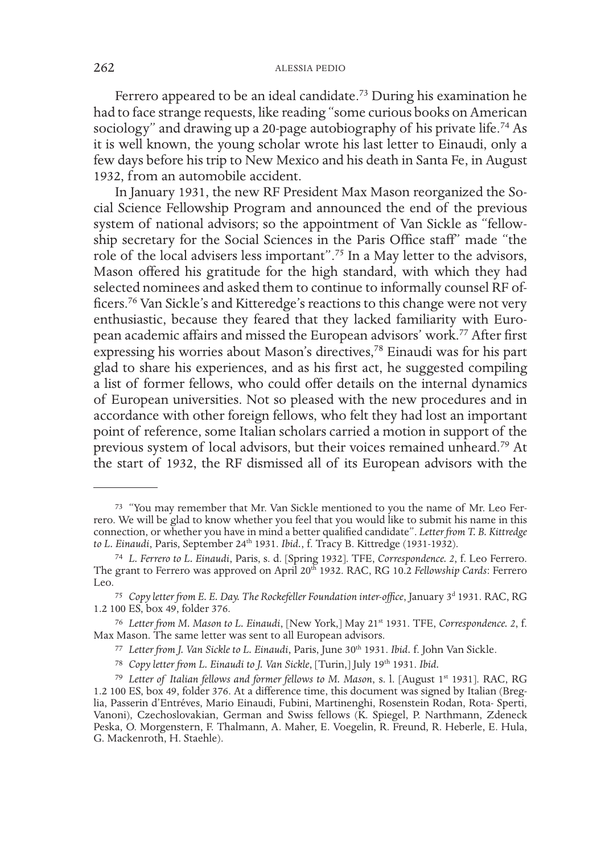Ferrero appeared to be an ideal candidate.73 During his examination he had to face strange requests, like reading "some curious books on American sociology" and drawing up a 20-page autobiography of his private life.<sup>74</sup> As it is well known, the young scholar wrote his last letter to Einaudi, only a few days before his trip to New Mexico and his death in Santa Fe, in August 1932, from an automobile accident.

In January 1931, the new RF President Max Mason reorganized the Social Science Fellowship Program and announced the end of the previous system of national advisors; so the appointment of Van Sickle as "fellowship secretary for the Social Sciences in the Paris Office staff" made "the role of the local advisers less important".75 In a May letter to the advisors, Mason offered his gratitude for the high standard, with which they had selected nominees and asked them to continue to informally counsel RF officers.76 Van Sickle's and Kitteredge's reactions to this change were not very enthusiastic, because they feared that they lacked familiarity with European academic affairs and missed the European advisors' work.77 After first expressing his worries about Mason's directives,<sup>78</sup> Einaudi was for his part glad to share his experiences, and as his first act, he suggested compiling a list of former fellows, who could offer details on the internal dynamics of European universities. Not so pleased with the new procedures and in accordance with other foreign fellows, who felt they had lost an important point of reference, some Italian scholars carried a motion in support of the previous system of local advisors, but their voices remained unheard.79 At the start of 1932, the RF dismissed all of its European advisors with the

<sup>73</sup> "You may remember that Mr. Van Sickle mentioned to you the name of Mr. Leo Fer- rero. We will be glad to know whether you feel that you would like to submit his name in this connection, or whether you have in mind a better qualified candidate". *Letter from T. B. Kittredge*  to L. Einaudi, Paris, September 24<sup>th</sup> 1931. *Ibid.*, f. Tracy B. Kittredge (1931-1932).

<sup>74</sup> *L. Ferrero to L. Einaudi*, Paris, s. d. [Spring 1932]. TFE, *Correspondence. 2*, f. Leo Ferrero. The grant to Ferrero was approved on April 20<sup>th</sup> 1932. RAC, RG 10.2 *Fellowship Cards*: Ferrero Leo.

<sup>&</sup>lt;sup>75</sup> Copy letter from E. E. Day. The Rockefeller Foundation inter-office, January 3<sup>d</sup> 1931. RAC, RG 1.2 100 ES, box 49, folder 376.

<sup>76</sup> *Letter from M. Mason to L. Einaudi*, [New York,] May 21st 1931. TFE, *Correspondence. 2*, f. Max Mason. The same letter was sent to all European advisors.

<sup>77</sup> *Letter from J. Van Sickle to L. Einaudi*, Paris, June 30th 1931. *Ibid.* f. John Van Sickle.

<sup>78</sup> *Copy letter from L. Einaudi to J. Van Sickle*, [Turin,] July 19th 1931. *Ibid.*

<sup>79</sup> *Letter of Italian fellows and former fellows to M. Mason*, s. l. [August 1st 1931]. RAC, RG 1.2 100 ES, box 49, folder 376. At a difference time, this document was signed by Italian (Breglia, Passerin d'Entréves, Mario Einaudi, Fubini, Martinenghi, Rosenstein Rodan, Rota- Sperti, Vanoni), Czechoslovakian, German and Swiss fellows (K. Spiegel, P. Narthmann, Zdeneck Peska, O. Morgenstern, F. Thalmann, A. Maher, E. Voegelin, R. Freund, R. Heberle, E. Hula, G. Mackenroth, H. Staehle).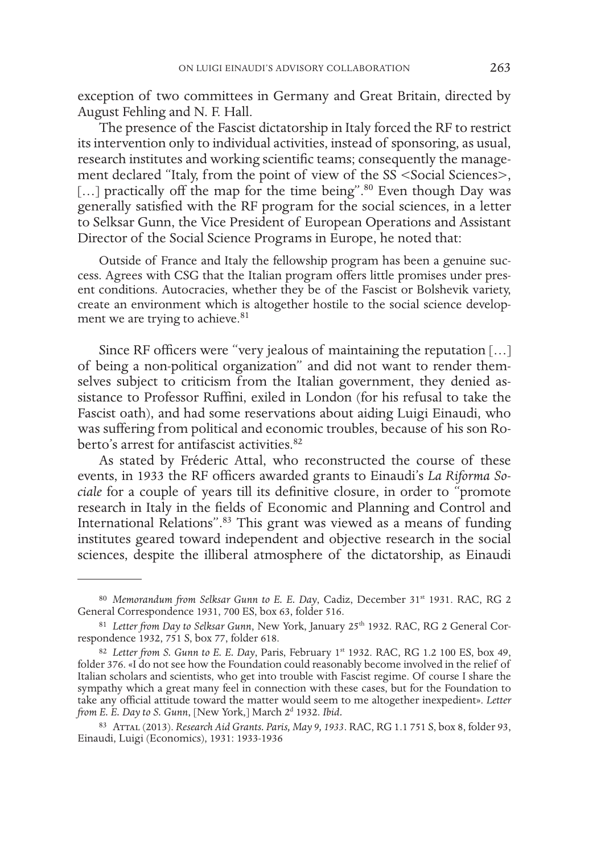exception of two committees in Germany and Great Britain, directed by August Fehling and N. F. Hall.

The presence of the Fascist dictatorship in Italy forced the RF to restrict its intervention only to individual activities, instead of sponsoring, as usual, research institutes and working scientific teams; consequently the management declared "Italy, from the point of view of the SS <Social Sciences>, [...] practically off the map for the time being".<sup>80</sup> Even though Day was generally satisfied with the RF program for the social sciences, in a letter to Selksar Gunn, the Vice President of European Operations and Assistant Director of the Social Science Programs in Europe, he noted that:

Outside of France and Italy the fellowship program has been a genuine success. Agrees with CSG that the Italian program offers little promises under present conditions. Autocracies, whether they be of the Fascist or Bolshevik variety, create an environment which is altogether hostile to the social science development we are trying to achieve.<sup>81</sup>

Since RF officers were "very jealous of maintaining the reputation […] of being a non-political organization" and did not want to render themselves subject to criticism from the Italian government, they denied assistance to Professor Ruffini, exiled in London (for his refusal to take the Fascist oath), and had some reservations about aiding Luigi Einaudi, who was suffering from political and economic troubles, because of his son Roberto's arrest for antifascist activities.<sup>82</sup>

As stated by Fréderic Attal, who reconstructed the course of these events, in 1933 the RF officers awarded grants to Einaudi's *La Riforma Sociale* for a couple of years till its definitive closure, in order to "promote research in Italy in the fields of Economic and Planning and Control and International Relations".83 This grant was viewed as a means of funding institutes geared toward independent and objective research in the social sciences, despite the illiberal atmosphere of the dictatorship, as Einaudi

<sup>80</sup> Memorandum from Selksar Gunn to E. E. Day, Cadiz, December 31<sup>st</sup> 1931. RAC, RG 2 General Correspondence 1931, 700 ES, box 63, folder 516.

<sup>81</sup> *Letter from Day to Selksar Gunn*, New York, January 25<sup>th</sup> 1932. RAC, RG 2 General Correspondence 1932, 751 S, box 77, folder 618.

<sup>82</sup> *Letter from S. Gunn to E. E. Day*, Paris, February 1st 1932. RAC, RG 1.2 100 ES, box 49, folder 376. «I do not see how the Foundation could reasonably become involved in the relief of Italian scholars and scientists, who get into trouble with Fascist regime. Of course I share the sympathy which a great many feel in connection with these cases, but for the Foundation to take any official attitude toward the matter would seem to me altogether inexpedient». *Letter from E. E. Day to S. Gunn*, [New York,] March 2d 1932. *Ibid.*

<sup>83</sup> Attal (2013). *Research Aid Grants. Paris, May 9, 1933*. RAC, RG 1.1 751 S, box 8, folder 93, Einaudi, Luigi (Economics), 1931: 1933-1936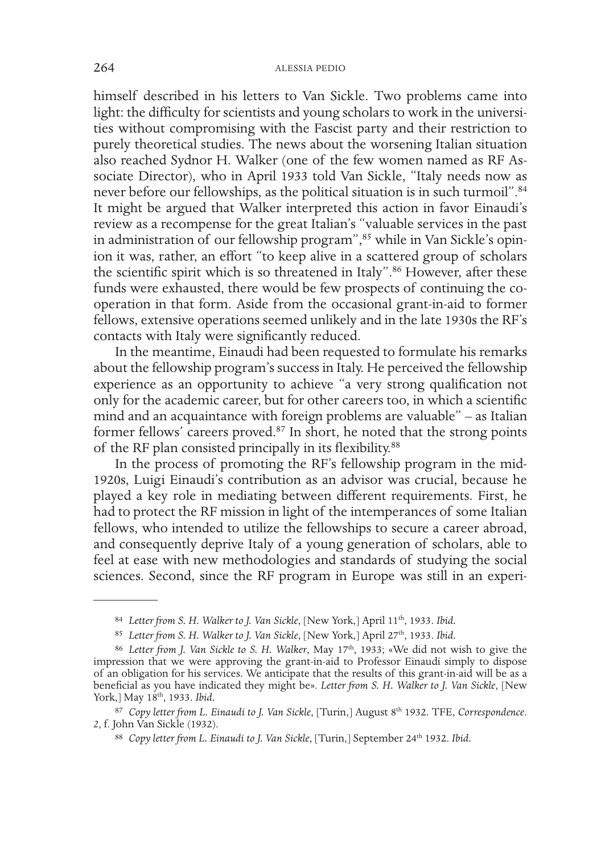himself described in his letters to Van Sickle. Two problems came into light: the difficulty for scientists and young scholars to work in the universities without compromising with the Fascist party and their restriction to purely theoretical studies. The news about the worsening Italian situation also reached Sydnor H. Walker (one of the few women named as RF Associate Director), who in April 1933 told Van Sickle, "Italy needs now as never before our fellowships, as the political situation is in such turmoil".<sup>84</sup> It might be argued that Walker interpreted this action in favor Einaudi's review as a recompense for the great Italian's "valuable services in the past in administration of our fellowship program",85 while in Van Sickle's opinion it was, rather, an effort "to keep alive in a scattered group of scholars the scientific spirit which is so threatened in Italy".<sup>86</sup> However, after these funds were exhausted, there would be few prospects of continuing the cooperation in that form. Aside from the occasional grant-in-aid to former fellows, extensive operations seemed unlikely and in the late 1930s the RF's contacts with Italy were significantly reduced.

In the meantime, Einaudi had been requested to formulate his remarks about the fellowship program's success in Italy. He perceived the fellowship experience as an opportunity to achieve "a very strong qualification not only for the academic career, but for other careers too, in which a scientific mind and an acquaintance with foreign problems are valuable" – as Italian former fellows' careers proved.<sup>87</sup> In short, he noted that the strong points of the RF plan consisted principally in its flexibility.88

In the process of promoting the RF's fellowship program in the mid-1920s, Luigi Einaudi's contribution as an advisor was crucial, because he played a key role in mediating between different requirements. First, he had to protect the RF mission in light of the intemperances of some Italian fellows, who intended to utilize the fellowships to secure a career abroad, and consequently deprive Italy of a young generation of scholars, able to feel at ease with new methodologies and standards of studying the social sciences. Second, since the RF program in Europe was still in an experi-

<sup>84</sup> *Letter from S. H. Walker to J. Van Sickle*, [New York,] April 11th, 1933. *Ibid.*

<sup>85</sup> Letter from S. H. Walker to J. Van Sickle, [New York,] April 27<sup>th</sup>, 1933. Ibid.

<sup>&</sup>lt;sup>86</sup> Letter from J. Van Sickle to S. H. Walker, May 17<sup>th</sup>, 1933; «We did not wish to give the impression that we were approving the grant-in-aid to Professor Einaudi simply to dispose of an obligation for his services. We anticipate that the results of this grant-in-aid will be as a beneficial as you have indicated they might be». *Letter from S. H. Walker to J. Van Sickle*, [New York,] May 18<sup>th</sup>, 1933. *Ibid.* 

<sup>&</sup>lt;sup>87</sup> Copy letter from L. Einaudi to J. Van Sickle, [Turin,] August 8<sup>th</sup> 1932. TFE, *Correspondence*. 2, f. John Van Sickle (1932).

<sup>88</sup> *Copy letter from L. Einaudi to J. Van Sickle*, [Turin,] September 24<sup>th</sup> 1932. *Ibid.*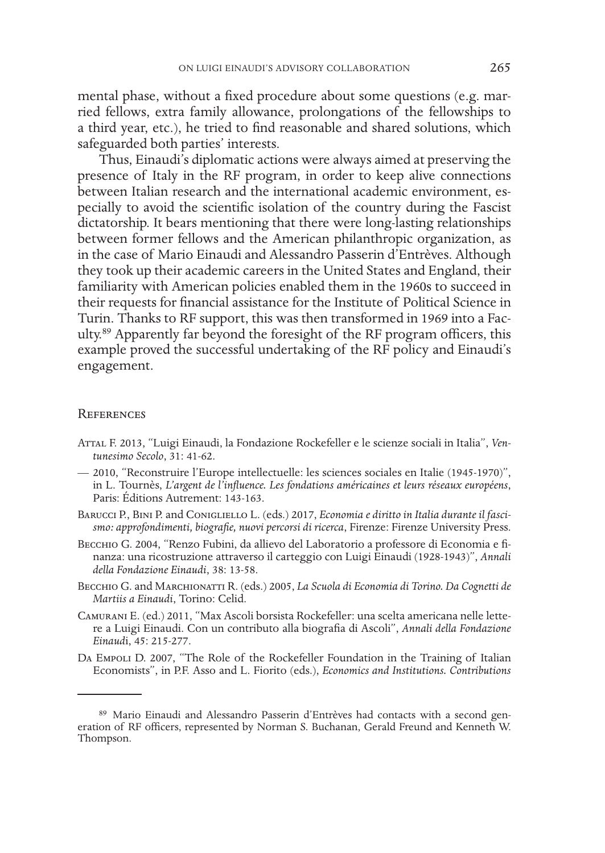mental phase, without a fixed procedure about some questions (e.g. married fellows, extra family allowance, prolongations of the fellowships to a third year, etc.), he tried to find reasonable and shared solutions, which safeguarded both parties' interests.

Thus, Einaudi's diplomatic actions were always aimed at preserving the presence of Italy in the RF program, in order to keep alive connections between Italian research and the international academic environment, especially to avoid the scientific isolation of the country during the Fascist dictatorship. It bears mentioning that there were long-lasting relationships between former fellows and the American philanthropic organization, as in the case of Mario Einaudi and Alessandro Passerin d'Entrèves. Although they took up their academic careers in the United States and England, their familiarity with American policies enabled them in the 1960s to succeed in their requests for financial assistance for the Institute of Political Science in Turin. Thanks to RF support, this was then transformed in 1969 into a Faculty.89 Apparently far beyond the foresight of the RF program officers, this example proved the successful undertaking of the RF policy and Einaudi's engagement.

# **REFERENCES**

- Attal F. 2013, "Luigi Einaudi, la Fondazione Rockefeller e le scienze sociali in Italia", *Ventunesimo Secolo*, 31: 41-62.
- 2010, "Reconstruire l'Europe intellectuelle: les sciences sociales en Italie (1945-1970)", in L. Tournès, *L'argent de l'influence. Les fondations américaines et leurs réseaux européens*, Paris: Éditions Autrement: 143-163.
- BARUCCI P., BINI P. and CONIGLIELLO L. (eds.) 2017, *Economia e diritto in Italia durante il fascismo: approfondimenti, biografie, nuovi percorsi di ricerca*, Firenze: Firenze University Press.
- Becchio G. 2004, "Renzo Fubini, da allievo del Laboratorio a professore di Economia e finanza: una ricostruzione attraverso il carteggio con Luigi Einaudi (1928-1943)", *Annali della Fondazione Einaudi*, 38: 13-58.
- Becchio G. and Marchionatti R. (eds.) 2005, *La Scuola di Economia di Torino. Da Cognetti de Martiis a Einaudi*, Torino: Celid.
- Camurani E. (ed.) 2011, "Max Ascoli borsista Rockefeller: una scelta americana nelle lettere a Luigi Einaudi. Con un contributo alla biografia di Ascoli", *Annali della Fondazione Einaud*i, 45: 215-277.
- Da Empoli D. 2007, "The Role of the Rockefeller Foundation in the Training of Italian Economists", in P.F. Asso and L. Fiorito (eds.), *Economics and Institutions. Contributions*

<sup>89</sup> Mario Einaudi and Alessandro Passerin d'Entrèves had contacts with a second generation of RF officers, represented by Norman S. Buchanan, Gerald Freund and Kenneth W. Thompson.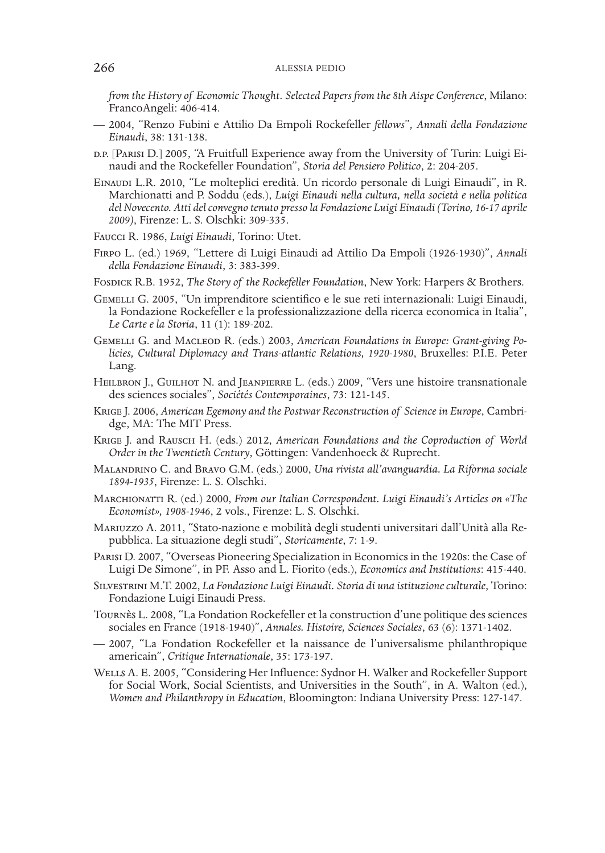*from the History of Economic Thought. Selected Papers from the 8th Aispe Conference*, Milano: FrancoAngeli: 406-414.

- 2004, "Renzo Fubini e Attilio Da Empoli Rockefeller *fellows*"*, Annali della Fondazione Einaudi*, 38: 131-138.
- d.p. [Parisi D.] 2005, "A Fruitfull Experience away from the University of Turin: Luigi Ei- naudi and the Rockefeller Foundation", *Storia del Pensiero Politico*, 2: 204-205.
- Einaudi L.R. 2010, "Le molteplici eredità. Un ricordo personale di Luigi Einaudi", in R. Marchionatti and P. Soddu (eds.), *Luigi Einaudi nella cultura, nella società e nella politica del Novecento. Atti del convegno tenuto presso la Fondazione Luigi Einaudi (Torino, 16-17 aprile 2009)*, Firenze: L. S. Olschki: 309-335.
- Faucci R. 1986, *Luigi Einaudi*, Torino: Utet.
- Firpo L. (ed.) 1969, "Lettere di Luigi Einaudi ad Attilio Da Empoli (1926-1930)", *Annali della Fondazione Einaudi*, 3: 383-399.
- Fosdick R.B. 1952, *The Story of the Rockefeller Foundation*, New York: Harpers & Brothers.
- Gemelli G. 2005, "Un imprenditore scientifico e le sue reti internazionali: Luigi Einaudi, la Fondazione Rockefeller e la professionalizzazione della ricerca economica in Italia", *Le Carte e la Storia*, 11 (1): 189-202.
- Gemelli G. and Macleod R. (eds.) 2003, *American Foundations in Europe: Grant-giving Po- licies, Cultural Diplomacy and Trans-atlantic Relations, 1920-1980*, Bruxelles: P.I.E. Peter Lang.
- HEILBRON J., GUILHOT N. and JEANPIERRE L. (eds.) 2009, "Vers une histoire transnationale des sciences sociales", *Sociétés Contemporaines*, 73: 121-145.
- Krige J. 2006, *American Egemony and the Postwar Reconstruction of Science in Europe*, Cambridge, MA: The MIT Press.
- Krige J. and Rausch H. (eds.) 2012, *American Foundations and the Coproduction of World Order in the Twentieth Century*, Göttingen: Vandenhoeck & Ruprecht.
- Malandrino C. and Bravo G.M. (eds.) 2000, *Una rivista all'avanguardia. La Riforma sociale 1894-1935*, Firenze: L. S. Olschki.
- Marchionatti R. (ed.) 2000, *From our Italian Correspondent. Luigi Einaudi's Articles on «The Economist», 1908-1946*, 2 vols., Firenze: L. S. Olschki.
- Mariuzzo A. 2011, "Stato-nazione e mobilità degli studenti universitari dall'Unità alla Repubblica. La situazione degli studi", *Storicamente*, 7: 1-9.
- Parisi D. 2007, "Overseas Pioneering Specialization in Economics in the 1920s: the Case of Luigi De Simone", in PF. Asso and L. Fiorito (eds.), *Economics and Institutions*: 415-440.
- Silvestrini M.T. 2002, *La Fondazione Luigi Einaudi. Storia di una istituzione culturale*, Torino: Fondazione Luigi Einaudi Press.
- Tournès L. 2008, "La Fondation Rockefeller et la construction d'une politique des sciences sociales en France (1918-1940)", *Annales. Histoire, Sciences Sociales*, 63 (6): 1371-1402.
- 2007*,* "La Fondation Rockefeller et la naissance de l'universalisme philanthropique americain", *Critique Internationale*, 35: 173-197.
- Wells A. E. 2005, "Considering Her Influence: Sydnor H. Walker and Rockefeller Support for Social Work, Social Scientists, and Universities in the South", in A. Walton (ed.), *Women and Philanthropy in Education*, Bloomington: Indiana University Press: 127-147.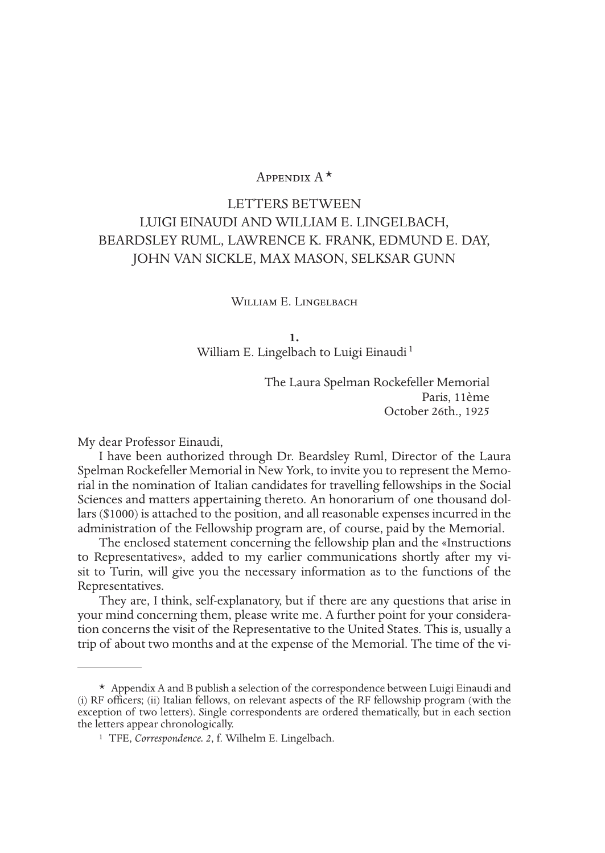# Appendix  $A^*$

# LETTERS BETWEEN LUIGI EINAUDI AND WILLIAM E. LINGELBACH, BEARDSLEY RUML, LAWRENCE K. FRANK, EDMUND E. DAY, JOHN VAN SICKLE, MAX MASON, SELKSAR GUNN

### William E. Lingelbach

**1.**

William E. Lingelbach to Luigi Einaudi<sup>1</sup>

The Laura Spelman Rockefeller Memorial Paris, 11ème October 26th., 1925

My dear Professor Einaudi,

I have been authorized through Dr. Beardsley Ruml, Director of the Laura Spelman Rockefeller Memorial in New York, to invite you to represent the Memorial in the nomination of Italian candidates for travelling fellowships in the Social Sciences and matters appertaining thereto. An honorarium of one thousand dollars (\$1000) is attached to the position, and all reasonable expenses incurred in the administration of the Fellowship program are, of course, paid by the Memorial.

The enclosed statement concerning the fellowship plan and the «Instructions to Representatives», added to my earlier communications shortly after my visit to Turin, will give you the necessary information as to the functions of the Representatives.

They are, I think, self-explanatory, but if there are any questions that arise in your mind concerning them, please write me. A further point for your consideration concerns the visit of the Representative to the United States. This is, usually a trip of about two months and at the expense of the Memorial. The time of the vi-

 $*$  Appendix A and B publish a selection of the correspondence between Luigi Einaudi and (i) RF officers; (ii) Italian fellows, on relevant aspects of the RF fellowship program (with the exception of two letters). Single correspondents are ordered thematically, but in each section the letters appear chronologically.

<sup>1</sup> TFE, *Correspondence. 2*, f. Wilhelm E. Lingelbach.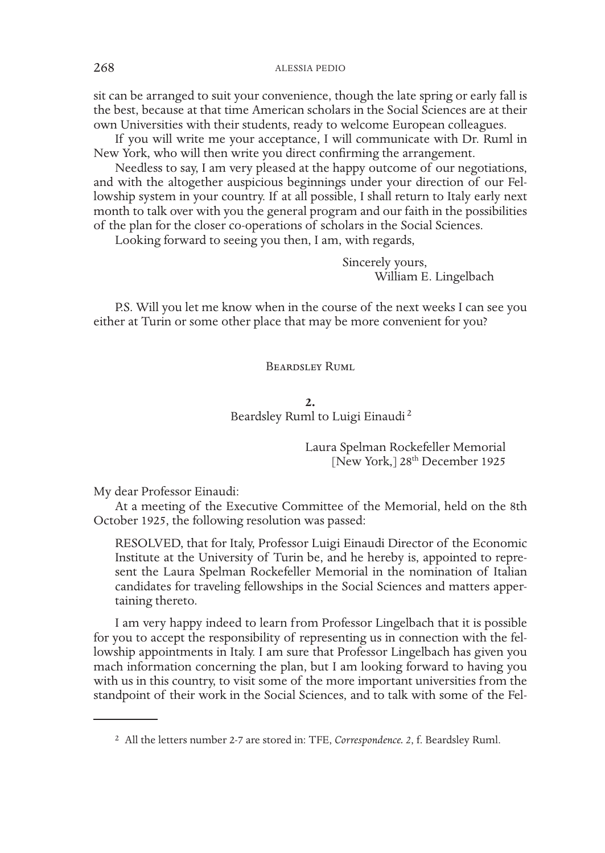sit can be arranged to suit your convenience, though the late spring or early fall is the best, because at that time American scholars in the Social Sciences are at their own Universities with their students, ready to welcome European colleagues.

If you will write me your acceptance, I will communicate with Dr. Ruml in New York, who will then write you direct confirming the arrangement.

Needless to say, I am very pleased at the happy outcome of our negotiations, and with the altogether auspicious beginnings under your direction of our Fellowship system in your country. If at all possible, I shall return to Italy early next month to talk over with you the general program and our faith in the possibilities of the plan for the closer co-operations of scholars in the Social Sciences.

Looking forward to seeing you then, I am, with regards,

Sincerely yours, William E. Lingelbach

P.S. Will you let me know when in the course of the next weeks I can see you either at Turin or some other place that may be more convenient for you?

## Beardsley Ruml

# **2.** Beardsley Ruml to Luigi Einaudi <sup>2</sup>

Laura Spelman Rockefeller Memorial [New York,]  $28<sup>th</sup>$  December 1925

My dear Professor Einaudi:

At a meeting of the Executive Committee of the Memorial, held on the 8th October 1925, the following resolution was passed:

RESOLVED, that for Italy, Professor Luigi Einaudi Director of the Economic Institute at the University of Turin be, and he hereby is, appointed to represent the Laura Spelman Rockefeller Memorial in the nomination of Italian candidates for traveling fellowships in the Social Sciences and matters appertaining thereto.

I am very happy indeed to learn from Professor Lingelbach that it is possible for you to accept the responsibility of representing us in connection with the fellowship appointments in Italy. I am sure that Professor Lingelbach has given you mach information concerning the plan, but I am looking forward to having you with us in this country, to visit some of the more important universities from the standpoint of their work in the Social Sciences, and to talk with some of the Fel-

<sup>2</sup> All the letters number 2-7 are stored in: TFE, *Correspondence. 2*, f. Beardsley Ruml.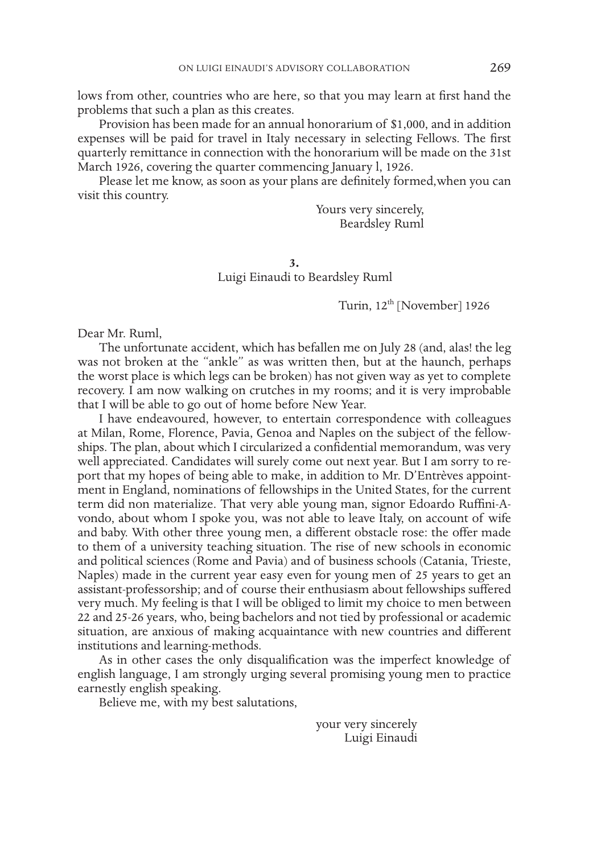lows from other, countries who are here, so that you may learn at first hand the problems that such a plan as this creates.

Provision has been made for an annual honorarium of \$1,000, and in addition expenses will be paid for travel in Italy necessary in selecting Fellows. The first quarterly remittance in connection with the honorarium will be made on the 31st March 1926, covering the quarter commencing January l, 1926.

Please let me know, as soon as your plans are definitely formed,when you can visit this country.

> Yours very sincerely, Beardsley Ruml

**3.** Luigi Einaudi to Beardsley Ruml

Turin, 12<sup>th</sup> [November] 1926

Dear Mr. Ruml,

The unfortunate accident, which has befallen me on July 28 (and, alas! the leg was not broken at the "ankle" as was written then, but at the haunch, perhaps the worst place is which legs can be broken) has not given way as yet to complete recovery. I am now walking on crutches in my rooms; and it is very improbable that I will be able to go out of home before New Year.

I have endeavoured, however, to entertain correspondence with colleagues at Milan, Rome, Florence, Pavia, Genoa and Naples on the subject of the fellowships. The plan, about which I circularized a confidential memorandum, was very well appreciated. Candidates will surely come out next year. But I am sorry to report that my hopes of being able to make, in addition to Mr. D'Entrèves appointment in England, nominations of fellowships in the United States, for the current term did non materialize. That very able young man, signor Edoardo Ruffini-Avondo, about whom I spoke you, was not able to leave Italy, on account of wife and baby. With other three young men, a different obstacle rose: the offer made to them of a university teaching situation. The rise of new schools in economic and political sciences (Rome and Pavia) and of business schools (Catania, Trieste, Naples) made in the current year easy even for young men of 25 years to get an assistant-professorship; and of course their enthusiasm about fellowships suffered very much. My feeling is that I will be obliged to limit my choice to men between 22 and 25-26 years, who, being bachelors and not tied by professional or academic situation, are anxious of making acquaintance with new countries and different institutions and learning-methods.

As in other cases the only disqualification was the imperfect knowledge of english language, I am strongly urging several promising young men to practice earnestly english speaking.

Believe me, with my best salutations,

your very sincerely Luigi Einaudi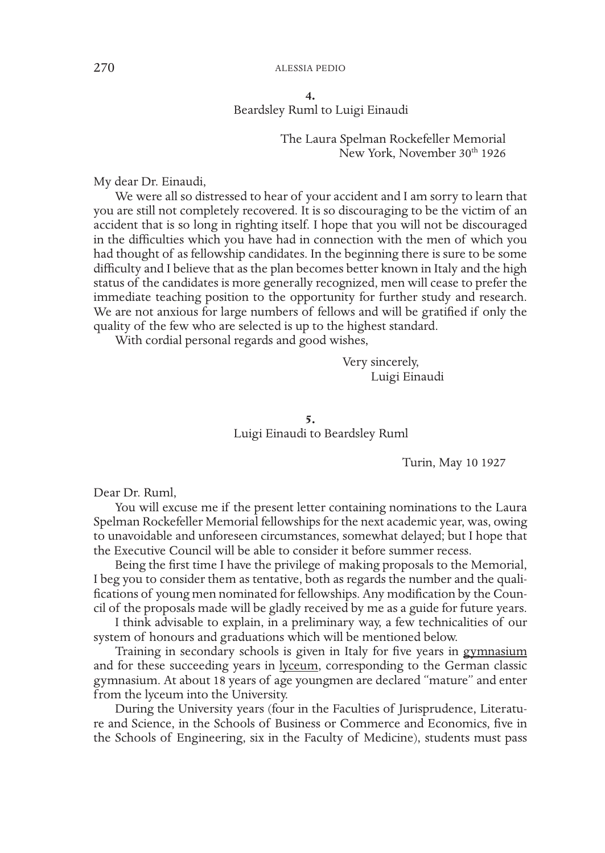**4.** Beardsley Ruml to Luigi Einaudi

> The Laura Spelman Rockefeller Memorial New York, November 30<sup>th</sup> 1926

My dear Dr. Einaudi,

We were all so distressed to hear of your accident and I am sorry to learn that you are still not completely recovered. It is so discouraging to be the victim of an accident that is so long in righting itself. I hope that you will not be discouraged in the difficulties which you have had in connection with the men of which you had thought of as fellowship candidates. In the beginning there is sure to be some difficulty and I believe that as the plan becomes better known in Italy and the high status of the candidates is more generally recognized, men will cease to prefer the immediate teaching position to the opportunity for further study and research. We are not anxious for large numbers of fellows and will be gratified if only the quality of the few who are selected is up to the highest standard.

With cordial personal regards and good wishes,

Very sincerely, Luigi Einaudi

**5.** Luigi Einaudi to Beardsley Ruml

Turin, May 10 1927

Dear Dr. Ruml,

You will excuse me if the present letter containing nominations to the Laura Spelman Rockefeller Memorial fellowships for the next academic year, was, owing to unavoidable and unforeseen circumstances, somewhat delayed; but I hope that the Executive Council will be able to consider it before summer recess.

Being the first time I have the privilege of making proposals to the Memorial, I beg you to consider them as tentative, both as regards the number and the qualifications of young men nominated for fellowships. Any modification by the Council of the proposals made will be gladly received by me as a guide for future years.

I think advisable to explain, in a preliminary way, a few technicalities of our system of honours and graduations which will be mentioned below.

Training in secondary schools is given in Italy for five years in gymnasium and for these succeeding years in lyceum, corresponding to the German classic gymnasium. At about 18 years of age youngmen are declared "mature" and enter from the lyceum into the University.

During the University years (four in the Faculties of Jurisprudence, Literature and Science, in the Schools of Business or Commerce and Economics, five in the Schools of Engineering, six in the Faculty of Medicine), students must pass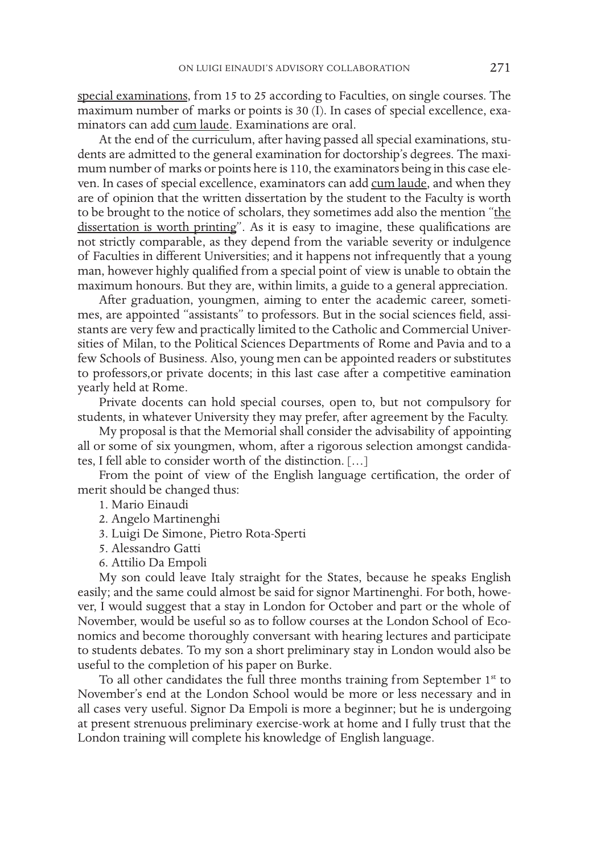special examinations, from 15 to 25 according to Faculties, on single courses. The maximum number of marks or points is 30 (I). In cases of special excellence, examinators can add cum laude. Examinations are oral.

At the end of the curriculum, after having passed all special examinations, students are admitted to the general examination for doctorship's degrees. The maximum number of marks or points here is 110, the examinators being in this case eleven. In cases of special excellence, examinators can add cum laude, and when they are of opinion that the written dissertation by the student to the Faculty is worth to be brought to the notice of scholars, they sometimes add also the mention "the dissertation is worth printing". As it is easy to imagine, these qualifications are not strictly comparable, as they depend from the variable severity or indulgence of Faculties in different Universities; and it happens not infrequently that a young man, however highly qualified from a special point of view is unable to obtain the maximum honours. But they are, within limits, a guide to a general appreciation.

After graduation, youngmen, aiming to enter the academic career, sometimes, are appointed "assistants" to professors. But in the social sciences field, assistants are very few and practically limited to the Catholic and Commercial Universities of Milan, to the Political Sciences Departments of Rome and Pavia and to a few Schools of Business. Also, young men can be appointed readers or substitutes to professors,or private docents; in this last case after a competitive eamination yearly held at Rome.

Private docents can hold special courses, open to, but not compulsory for students, in whatever University they may prefer, after agreement by the Faculty.

My proposal is that the Memorial shall consider the advisability of appointing all or some of six youngmen, whom, after a rigorous selection amongst candidates, I fell able to consider worth of the distinction. […]

From the point of view of the English language certification, the order of merit should be changed thus:

- 1. Mario Einaudi
- 2. Angelo Martinenghi
- 3. Luigi De Simone, Pietro Rota-Sperti
- 5. Alessandro Gatti
- 6. Attilio Da Empoli

My son could leave Italy straight for the States, because he speaks English easily; and the same could almost be said for signor Martinenghi. For both, however, I would suggest that a stay in London for October and part or the whole of November, would be useful so as to follow courses at the London School of Economics and become thoroughly conversant with hearing lectures and participate to students debates. To my son a short preliminary stay in London would also be useful to the completion of his paper on Burke.

To all other candidates the full three months training from September  $1<sup>st</sup>$  to November's end at the London School would be more or less necessary and in all cases very useful. Signor Da Empoli is more a beginner; but he is undergoing at present strenuous preliminary exercise-work at home and I fully trust that the London training will complete his knowledge of English language.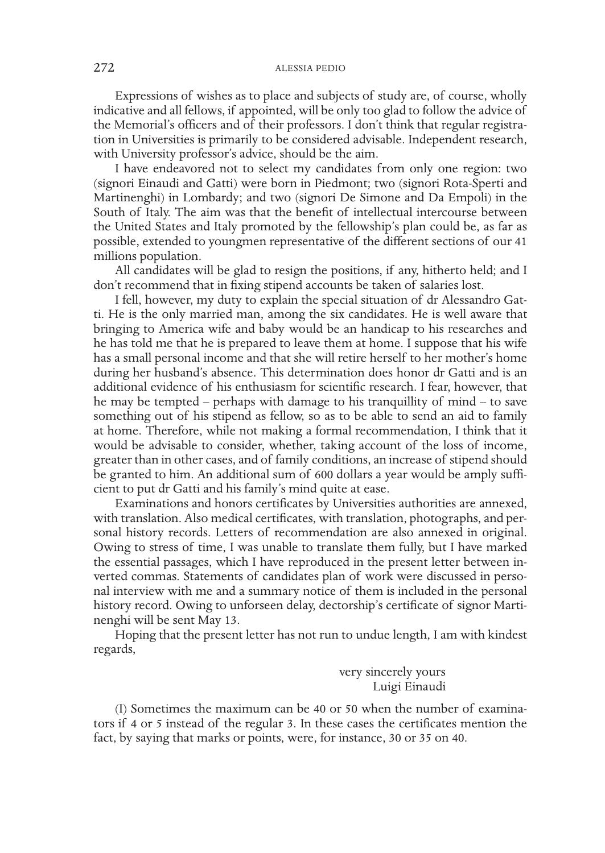Expressions of wishes as to place and subjects of study are, of course, wholly indicative and all fellows, if appointed, will be only too glad to follow the advice of the Memorial's officers and of their professors. I don't think that regular registration in Universities is primarily to be considered advisable. Independent research, with University professor's advice, should be the aim.

I have endeavored not to select my candidates from only one region: two (signori Einaudi and Gatti) were born in Piedmont; two (signori Rota-Sperti and Martinenghi) in Lombardy; and two (signori De Simone and Da Empoli) in the South of Italy. The aim was that the benefit of intellectual intercourse between the United States and Italy promoted by the fellowship's plan could be, as far as possible, extended to youngmen representative of the different sections of our 41 millions population.

All candidates will be glad to resign the positions, if any, hitherto held; and I don't recommend that in fixing stipend accounts be taken of salaries lost.

I fell, however, my duty to explain the special situation of dr Alessandro Gatti. He is the only married man, among the six candidates. He is well aware that bringing to America wife and baby would be an handicap to his researches and he has told me that he is prepared to leave them at home. I suppose that his wife has a small personal income and that she will retire herself to her mother's home during her husband's absence. This determination does honor dr Gatti and is an additional evidence of his enthusiasm for scientific research. I fear, however, that he may be tempted – perhaps with damage to his tranquillity of mind – to save something out of his stipend as fellow, so as to be able to send an aid to family at home. Therefore, while not making a formal recommendation, I think that it would be advisable to consider, whether, taking account of the loss of income, greater than in other cases, and of family conditions, an increase of stipend should be granted to him. An additional sum of 600 dollars a year would be amply sufficient to put dr Gatti and his family's mind quite at ease.

Examinations and honors certificates by Universities authorities are annexed, with translation. Also medical certificates, with translation, photographs, and personal history records. Letters of recommendation are also annexed in original. Owing to stress of time, I was unable to translate them fully, but I have marked the essential passages, which I have reproduced in the present letter between inverted commas. Statements of candidates plan of work were discussed in personal interview with me and a summary notice of them is included in the personal history record. Owing to unforseen delay, dectorship's certificate of signor Martinenghi will be sent May 13.

Hoping that the present letter has not run to undue length, I am with kindest regards,

> very sincerely yours Luigi Einaudi

(I) Sometimes the maximum can be 40 or 50 when the number of examinators if 4 or 5 instead of the regular 3. In these cases the certificates mention the fact, by saying that marks or points, were, for instance, 30 or 35 on 40.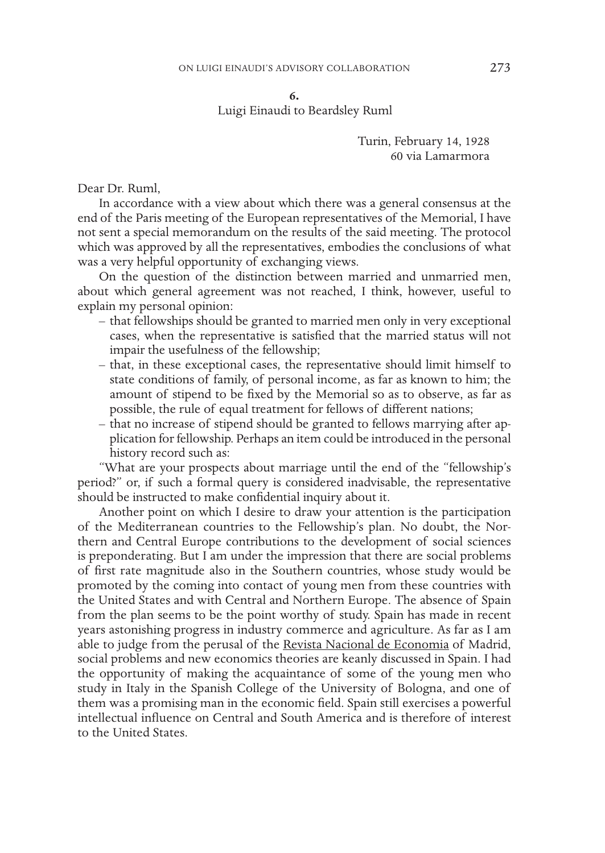**6.**

Luigi Einaudi to Beardsley Ruml

Turin, February 14, 1928 60 via Lamarmora

Dear Dr. Ruml,

In accordance with a view about which there was a general consensus at the end of the Paris meeting of the European representatives of the Memorial, I have not sent a special memorandum on the results of the said meeting. The protocol which was approved by all the representatives, embodies the conclusions of what was a very helpful opportunity of exchanging views.

On the question of the distinction between married and unmarried men, about which general agreement was not reached, I think, however, useful to explain my personal opinion:

- that fellowships should be granted to married men only in very exceptional cases, when the representative is satisfied that the married status will not impair the usefulness of the fellowship;
- that, in these exceptional cases, the representative should limit himself to state conditions of family, of personal income, as far as known to him; the amount of stipend to be fixed by the Memorial so as to observe, as far as possible, the rule of equal treatment for fellows of different nations;
- that no increase of stipend should be granted to fellows marrying after application for fellowship. Perhaps an item could be introduced in the personal history record such as:

"What are your prospects about marriage until the end of the "fellowship's period?" or, if such a formal query is considered inadvisable, the representative should be instructed to make confidential inquiry about it.

Another point on which I desire to draw your attention is the participation of the Mediterranean countries to the Fellowship's plan. No doubt, the Northern and Central Europe contributions to the development of social sciences is preponderating. But I am under the impression that there are social problems of first rate magnitude also in the Southern countries, whose study would be promoted by the coming into contact of young men from these countries with the United States and with Central and Northern Europe. The absence of Spain from the plan seems to be the point worthy of study. Spain has made in recent years astonishing progress in industry commerce and agriculture. As far as I am able to judge from the perusal of the Revista Nacional de Economia of Madrid, social problems and new economics theories are keanly discussed in Spain. I had the opportunity of making the acquaintance of some of the young men who study in Italy in the Spanish College of the University of Bologna, and one of them was a promising man in the economic field. Spain still exercises a powerful intellectual influence on Central and South America and is therefore of interest to the United States.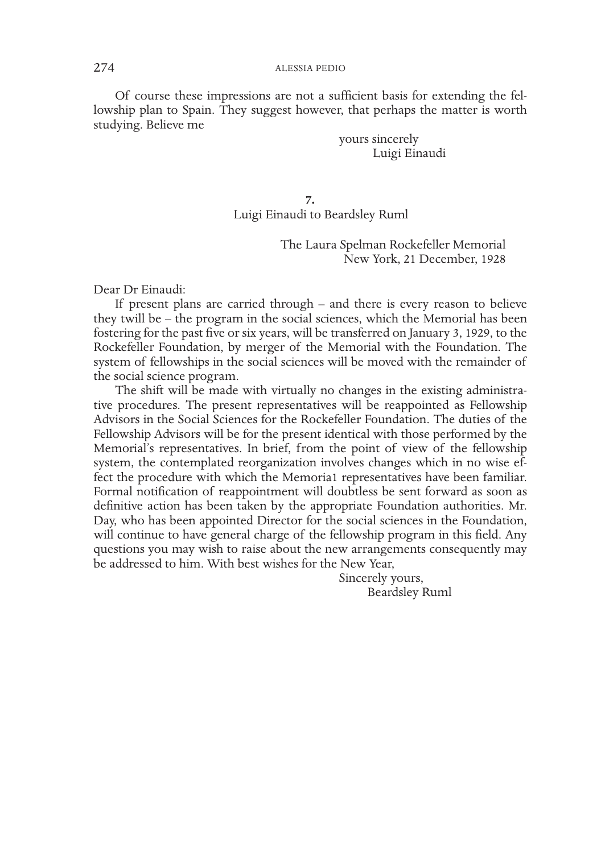Of course these impressions are not a sufficient basis for extending the fellowship plan to Spain. They suggest however, that perhaps the matter is worth studying. Believe me

> yours sincerely Luigi Einaudi

**7.** Luigi Einaudi to Beardsley Ruml

> The Laura Spelman Rockefeller Memorial New York, 21 December, 1928

Dear Dr Einaudi:

If present plans are carried through – and there is every reason to believe they twill be – the program in the social sciences, which the Memorial has been fostering for the past five or six years, will be transferred on January 3, 1929, to the Rockefeller Foundation, by merger of the Memorial with the Foundation. The system of fellowships in the social sciences will be moved with the remainder of the social science program.

The shift will be made with virtually no changes in the existing administrative procedures. The present representatives will be reappointed as Fellowship Advisors in the Social Sciences for the Rockefeller Foundation. The duties of the Fellowship Advisors will be for the present identical with those performed by the Memorial's representatives. In brief, from the point of view of the fellowship system, the contemplated reorganization involves changes which in no wise effect the procedure with which the Memoria1 representatives have been familiar. Formal notification of reappointment will doubtless be sent forward as soon as definitive action has been taken by the appropriate Foundation authorities. Mr. Day, who has been appointed Director for the social sciences in the Foundation, will continue to have general charge of the fellowship program in this field. Any questions you may wish to raise about the new arrangements consequently may be addressed to him. With best wishes for the New Year,

> Sincerely yours, Beardsley Ruml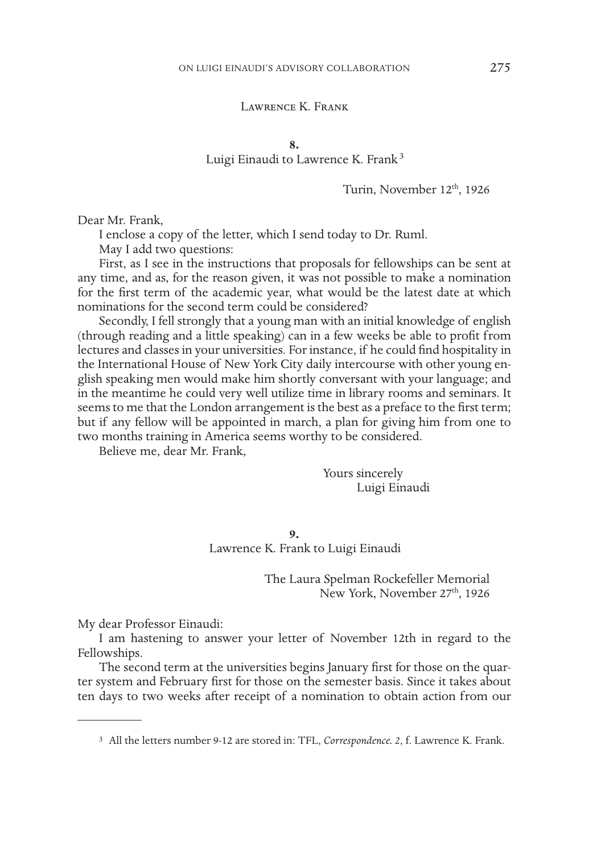# Lawrence K. Frank

**8.**

Luigi Einaudi to Lawrence K. Frank<sup>3</sup>

Turin, November 12th, 1926

Dear Mr. Frank,

I enclose a copy of the letter, which I send today to Dr. Ruml.

May I add two questions:

First, as I see in the instructions that proposals for fellowships can be sent at any time, and as, for the reason given, it was not possible to make a nomination for the first term of the academic year, what would be the latest date at which nominations for the second term could be considered?

Secondly, I fell strongly that a young man with an initial knowledge of english (through reading and a little speaking) can in a few weeks be able to profit from lectures and classes in your universities. For instance, if he could find hospitality in the International House of New York City daily intercourse with other young english speaking men would make him shortly conversant with your language; and in the meantime he could very well utilize time in library rooms and seminars. It seems to me that the London arrangement is the best as a preface to the first term; but if any fellow will be appointed in march, a plan for giving him from one to two months training in America seems worthy to be considered.

Believe me, dear Mr. Frank,

Yours sincerely Luigi Einaudi

**9.** Lawrence K. Frank to Luigi Einaudi

> The Laura Spelman Rockefeller Memorial New York, November 27<sup>th</sup>, 1926

My dear Professor Einaudi:

I am hastening to answer your letter of November 12th in regard to the Fellowships.

The second term at the universities begins January first for those on the quarter system and February first for those on the semester basis. Since it takes about ten days to two weeks after receipt of a nomination to obtain action from our

<sup>3</sup> All the letters number 9-12 are stored in: TFL, *Correspondence. 2*, f. Lawrence K. Frank.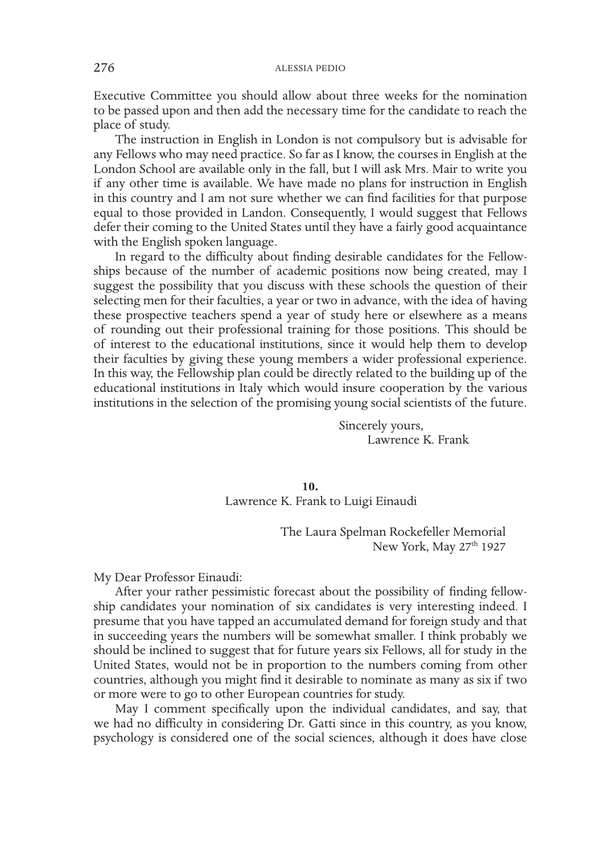Executive Committee you should allow about three weeks for the nomination to be passed upon and then add the necessary time for the candidate to reach the place of study.

The instruction in English in London is not compulsory but is advisable for any Fellows who may need practice. So far as I know, the courses in English at the London School are available only in the fall, but I will ask Mrs. Mair to write you if any other time is available. We have made no plans for instruction in English in this country and I am not sure whether we can find facilities for that purpose equal to those provided in Landon. Consequently, I would suggest that Fellows defer their coming to the United States until they have a fairly good acquaintance with the English spoken language.

In regard to the difficulty about finding desirable candidates for the Fellowships because of the number of academic positions now being created, may I suggest the possibility that you discuss with these schools the question of their selecting men for their faculties, a year or two in advance, with the idea of having these prospective teachers spend a year of study here or elsewhere as a means of rounding out their professional training for those positions. This should be of interest to the educational institutions, since it would help them to develop their faculties by giving these young members a wider professional experience. In this way, the Fellowship plan could be directly related to the building up of the educational institutions in Italy which would insure cooperation by the various institutions in the selection of the promising young social scientists of the future.

> Sincerely yours, Lawrence K. Frank

**10.** Lawrence K. Frank to Luigi Einaudi

> The Laura Spelman Rockefeller Memorial New York, May 27<sup>th</sup> 1927

My Dear Professor Einaudi:

After your rather pessimistic forecast about the possibility of finding fellowship candidates your nomination of six candidates is very interesting indeed. I presume that you have tapped an accumulated demand for foreign study and that in succeeding years the numbers will be somewhat smaller. I think probably we should be inclined to suggest that for future years six Fellows, all for study in the United States, would not be in proportion to the numbers coming from other countries, although you might find it desirable to nominate as many as six if two or more were to go to other European countries for study.

May I comment specifically upon the individual candidates, and say, that we had no difficulty in considering Dr. Gatti since in this country, as you know, psychology is considered one of the social sciences, although it does have close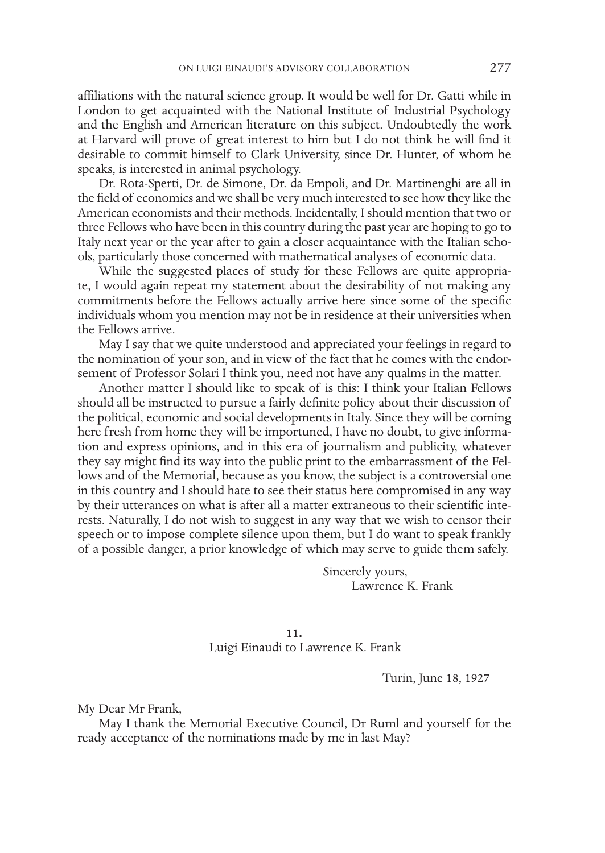affiliations with the natural science group. It would be well for Dr. Gatti while in London to get acquainted with the National Institute of Industrial Psychology and the English and American literature on this subject. Undoubtedly the work at Harvard will prove of great interest to him but I do not think he will find it desirable to commit himself to Clark University, since Dr. Hunter, of whom he speaks, is interested in animal psychology.

Dr. Rota-Sperti, Dr. de Simone, Dr. da Empoli, and Dr. Martinenghi are all in the field of economics and we shall be very much interested to see how they like the American economists and their methods. Incidentally, I should mention that two or three Fellows who have been in this country during the past year are hoping to go to Italy next year or the year after to gain a closer acquaintance with the Italian schools, particularly those concerned with mathematical analyses of economic data.

While the suggested places of study for these Fellows are quite appropriate, I would again repeat my statement about the desirability of not making any commitments before the Fellows actually arrive here since some of the specific individuals whom you mention may not be in residence at their universities when the Fellows arrive.

May I say that we quite understood and appreciated your feelings in regard to the nomination of your son, and in view of the fact that he comes with the endorsement of Professor Solari I think you, need not have any qualms in the matter.

Another matter I should like to speak of is this: I think your Italian Fellows should all be instructed to pursue a fairly definite policy about their discussion of the political, economic and social developments in Italy. Since they will be coming here fresh from home they will be importuned, I have no doubt, to give information and express opinions, and in this era of journalism and publicity, whatever they say might find its way into the public print to the embarrassment of the Fellows and of the Memorial, because as you know, the subject is a controversial one in this country and I should hate to see their status here compromised in any way by their utterances on what is after all a matter extraneous to their scientific interests. Naturally, I do not wish to suggest in any way that we wish to censor their speech or to impose complete silence upon them, but I do want to speak frankly of a possible danger, a prior knowledge of which may serve to guide them safely.

> Sincerely yours, Lawrence K. Frank

**11.** Luigi Einaudi to Lawrence K. Frank

Turin, June 18, 1927

My Dear Mr Frank,

May I thank the Memorial Executive Council, Dr Ruml and yourself for the ready acceptance of the nominations made by me in last May?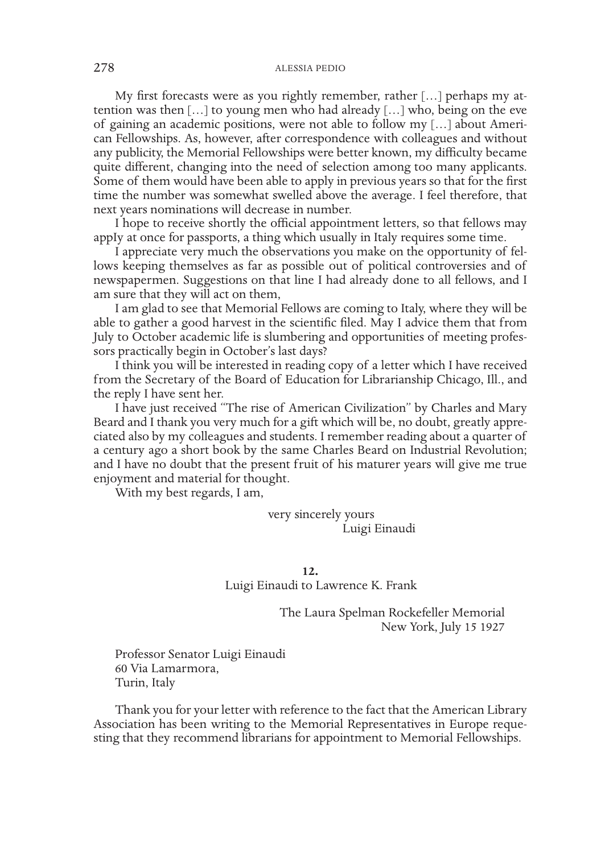My first forecasts were as you rightly remember, rather […] perhaps my attention was then […] to young men who had already […] who, being on the eve of gaining an academic positions, were not able to follow my […] about American Fellowships. As, however, after correspondence with colleagues and without any publicity, the Memorial Fellowships were better known, my difficulty became quite different, changing into the need of selection among too many applicants. Some of them would have been able to apply in previous years so that for the first time the number was somewhat swelled above the average. I feel therefore, that next years nominations will decrease in number.

I hope to receive shortly the official appointment letters, so that fellows may appIy at once for passports, a thing which usually in Italy requires some time.

I appreciate very much the observations you make on the opportunity of fellows keeping themselves as far as possible out of political controversies and of newspapermen. Suggestions on that line I had already done to all fellows, and I am sure that they will act on them,

I am glad to see that Memorial Fellows are coming to Italy, where they will be able to gather a good harvest in the scientific filed. May I advice them that from July to October academic life is slumbering and opportunities of meeting professors practically begin in October's last days?

I think you will be interested in reading copy of a letter which I have received from the Secretary of the Board of Education for Librarianship Chicago, Ill., and the reply I have sent her.

I have just received "The rise of American Civilization" by Charles and Mary Beard and I thank you very much for a gift which will be, no doubt, greatly appreciated also by my colleagues and students. I remember reading about a quarter of a century ago a short book by the same Charles Beard on Industrial Revolution; and I have no doubt that the present fruit of his maturer years will give me true enjoyment and material for thought.

With my best regards, I am,

very sincerely yours Luigi Einaudi

**12.** Luigi Einaudi to Lawrence K. Frank

> The Laura Spelman Rockefeller Memorial New York, July 15 1927

Professor Senator Luigi Einaudi 60 Via Lamarmora, Turin, Italy

Thank you for your letter with reference to the fact that the American Library Association has been writing to the Memorial Representatives in Europe requesting that they recommend librarians for appointment to Memorial Fellowships.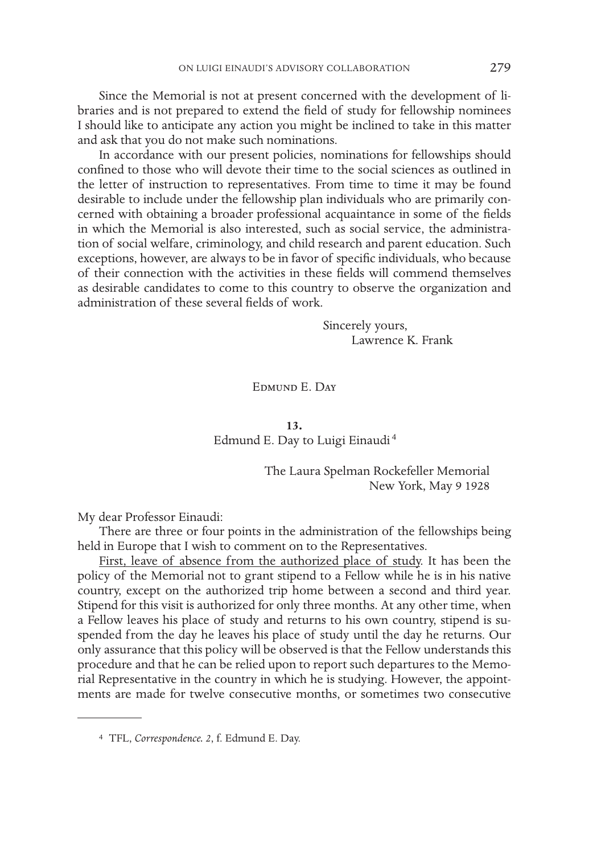Since the Memorial is not at present concerned with the development of libraries and is not prepared to extend the field of study for fellowship nominees I should like to anticipate any action you might be inclined to take in this matter and ask that you do not make such nominations.

In accordance with our present policies, nominations for fellowships should confined to those who will devote their time to the social sciences as outlined in the letter of instruction to representatives. From time to time it may be found desirable to include under the fellowship plan individuals who are primarily concerned with obtaining a broader professional acquaintance in some of the fields in which the Memorial is also interested, such as social service, the administration of social welfare, criminology, and child research and parent education. Such exceptions, however, are always to be in favor of specific individuals, who because of their connection with the activities in these fields will commend themselves as desirable candidates to come to this country to observe the organization and administration of these several fields of work.

> Sincerely yours, Lawrence K. Frank

Edmund E. Day

**13.** Edmund E. Day to Luigi Einaudi <sup>4</sup>

> The Laura Spelman Rockefeller Memorial New York, May 9 1928

My dear Professor Einaudi:

There are three or four points in the administration of the fellowships being held in Europe that I wish to comment on to the Representatives.

First, leave of absence from the authorized place of study. It has been the policy of the Memorial not to grant stipend to a Fellow while he is in his native country, except on the authorized trip home between a second and third year. Stipend for this visit is authorized for only three months. At any other time, when a Fellow leaves his place of study and returns to his own country, stipend is suspended from the day he leaves his place of study until the day he returns. Our only assurance that this policy will be observed is that the Fellow understands this procedure and that he can be relied upon to report such departures to the Memorial Representative in the country in which he is studying. However, the appointments are made for twelve consecutive months, or sometimes two consecutive

<sup>4</sup> TFL, *Correspondence. 2*, f. Edmund E. Day.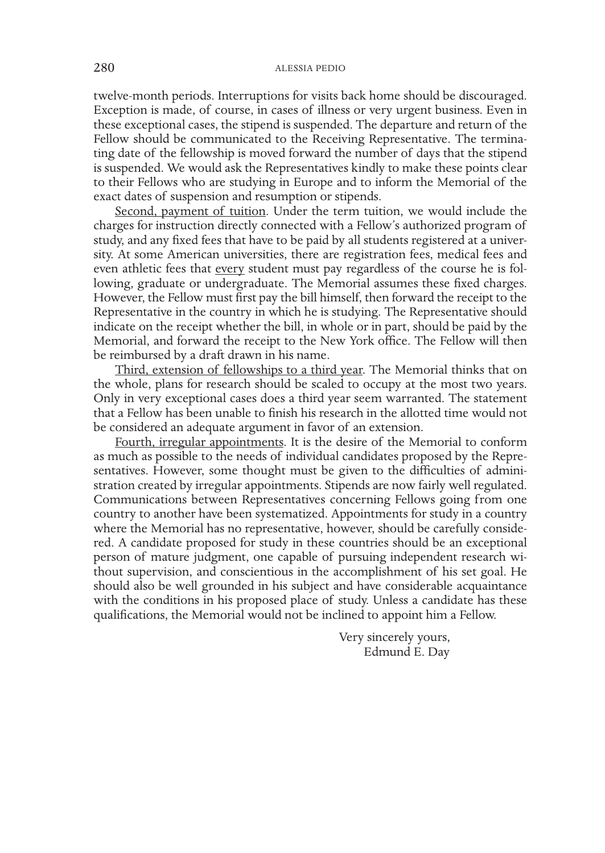twelve-month periods. Interruptions for visits back home should be discouraged. Exception is made, of course, in cases of illness or very urgent business. Even in these exceptional cases, the stipend is suspended. The departure and return of the Fellow should be communicated to the Receiving Representative. The terminating date of the fellowship is moved forward the number of days that the stipend is suspended. We would ask the Representatives kindly to make these points clear to their Fellows who are studying in Europe and to inform the Memorial of the exact dates of suspension and resumption or stipends.

Second, payment of tuition. Under the term tuition, we would include the charges for instruction directly connected with a Fellow's authorized program of study, and any fixed fees that have to be paid by all students registered at a university. At some American universities, there are registration fees, medical fees and even athletic fees that every student must pay regardless of the course he is following, graduate or undergraduate. The Memorial assumes these fixed charges. However, the Fellow must first pay the bill himself, then forward the receipt to the Representative in the country in which he is studying. The Representative should indicate on the receipt whether the bill, in whole or in part, should be paid by the Memorial, and forward the receipt to the New York office. The Fellow will then be reimbursed by a draft drawn in his name.

Third, extension of fellowships to a third year. The Memorial thinks that on the whole, plans for research should be scaled to occupy at the most two years. Only in very exceptional cases does a third year seem warranted. The statement that a Fellow has been unable to finish his research in the allotted time would not be considered an adequate argument in favor of an extension.

Fourth, irregular appointments. It is the desire of the Memorial to conform as much as possible to the needs of individual candidates proposed by the Representatives. However, some thought must be given to the difficulties of administration created by irregular appointments. Stipends are now fairly well regulated. Communications between Representatives concerning Fellows going from one country to another have been systematized. Appointments for study in a country where the Memorial has no representative, however, should be carefully considered. A candidate proposed for study in these countries should be an exceptional person of mature judgment, one capable of pursuing independent research without supervision, and conscientious in the accomplishment of his set goal. He should also be well grounded in his subject and have considerable acquaintance with the conditions in his proposed place of study. Unless a candidate has these qualifications, the Memorial would not be inclined to appoint him a Fellow.

> Very sincerely yours, Edmund E. Day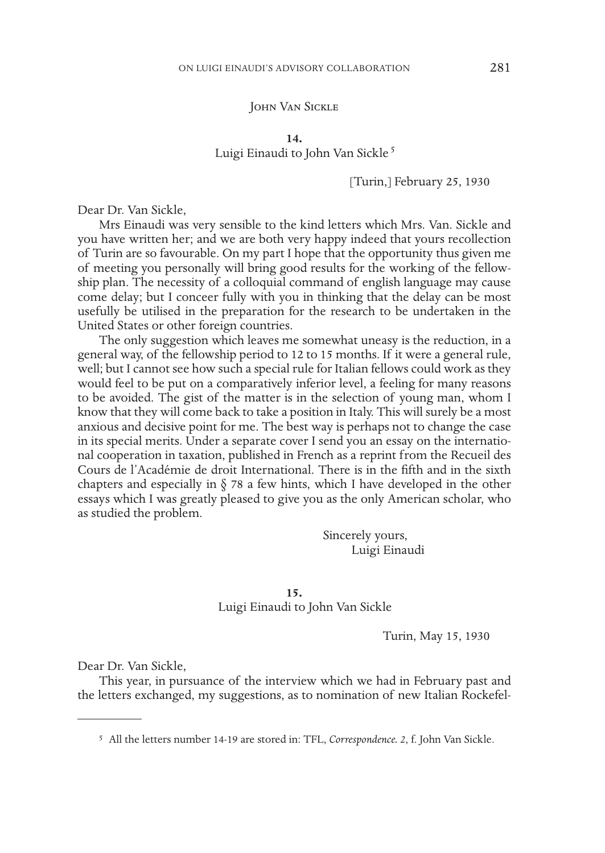# John Van Sickle

**14.**

# Luigi Einaudi to John Van Sickle<sup>5</sup>

### [Turin,] February 25, 1930

Dear Dr. Van Sickle,

Mrs Einaudi was very sensible to the kind letters which Mrs. Van. Sickle and you have written her; and we are both very happy indeed that yours recollection of Turin are so favourable. On my part I hope that the opportunity thus given me of meeting you personally will bring good results for the working of the fellowship plan. The necessity of a colloquial command of english language may cause come delay; but I conceer fully with you in thinking that the delay can be most usefully be utilised in the preparation for the research to be undertaken in the United States or other foreign countries.

The only suggestion which leaves me somewhat uneasy is the reduction, in a general way, of the fellowship period to 12 to 15 months. If it were a general rule, well; but I cannot see how such a special rule for Italian fellows could work as they would feel to be put on a comparatively inferior level, a feeling for many reasons to be avoided. The gist of the matter is in the selection of young man, whom I know that they will come back to take a position in Italy. This will surely be a most anxious and decisive point for me. The best way is perhaps not to change the case in its special merits. Under a separate cover I send you an essay on the international cooperation in taxation, published in French as a reprint from the Recueil des Cours de l'Académie de droit International. There is in the fifth and in the sixth chapters and especially in  $\S$  78 a few hints, which I have developed in the other essays which I was greatly pleased to give you as the only American scholar, who as studied the problem.

> Sincerely yours, Luigi Einaudi

# **15.**

Luigi Einaudi to John Van Sickle

Turin, May 15, 1930

Dear Dr. Van Sickle,

This year, in pursuance of the interview which we had in February past and the letters exchanged, my suggestions, as to nomination of new Italian Rockefel-

<sup>5</sup> All the letters number 14-19 are stored in: TFL, *Correspondence. 2*, f. John Van Sickle.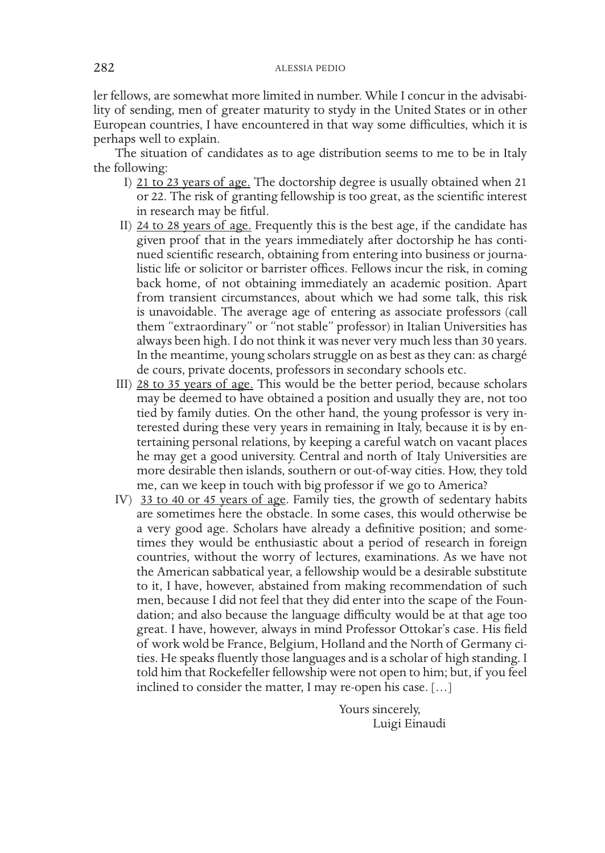ler fellows, are somewhat more limited in number. While I concur in the advisability of sending, men of greater maturity to stydy in the United States or in other European countries, I have encountered in that way some difficulties, which it is perhaps well to explain.

The situation of candidates as to age distribution seems to me to be in Italy the following:

- I) 21 to 23 years of age. The doctorship degree is usually obtained when 21 or 22. The risk of granting fellowship is too great, as the scientific interest in research may be fitful.
- II) 24 to 28 years of age. Frequently this is the best age, if the candidate has given proof that in the years immediately after doctorship he has continued scientific research, obtaining from entering into business or journalistic life or solicitor or barrister offices. Fellows incur the risk, in coming back home, of not obtaining immediately an academic position. Apart from transient circumstances, about which we had some talk, this risk is unavoidable. The average age of entering as associate professors (call them "extraordinary" or "not stable" professor) in Italian Universities has always been high. I do not think it was never very much less than 30 years. In the meantime, young scholars struggle on as best as they can: as chargé de cours, private docents, professors in secondary schools etc.
- III) 28 to 35 years of age. This would be the better period, because scholars may be deemed to have obtained a position and usually they are, not too tied by family duties. On the other hand, the young professor is very interested during these very years in remaining in Italy, because it is by entertaining personal relations, by keeping a careful watch on vacant places he may get a good university. Central and north of Italy Universities are more desirable then islands, southern or out-of-way cities. How, they told me, can we keep in touch with big professor if we go to America?
- IV) 33 to 40 or 45 years of age. Family ties, the growth of sedentary habits are sometimes here the obstacle. In some cases, this would otherwise be a very good age. Scholars have already a definitive position; and sometimes they would be enthusiastic about a period of research in foreign countries, without the worry of lectures, examinations. As we have not the American sabbatical year, a fellowship would be a desirable substitute to it, I have, however, abstained from making recommendation of such men, because I did not feel that they did enter into the scape of the Foundation; and also because the language difficulty would be at that age too great. I have, however, always in mind Professor Ottokar's case. His field of work wold be France, Belgium, HoIland and the North of Germany cities. He speaks fluently those languages and is a scholar of high standing. I told him that RockefelIer fellowship were not open to him; but, if you feel inclined to consider the matter, I may re-open his case. […]

Yours sincerely, Luigi Einaudi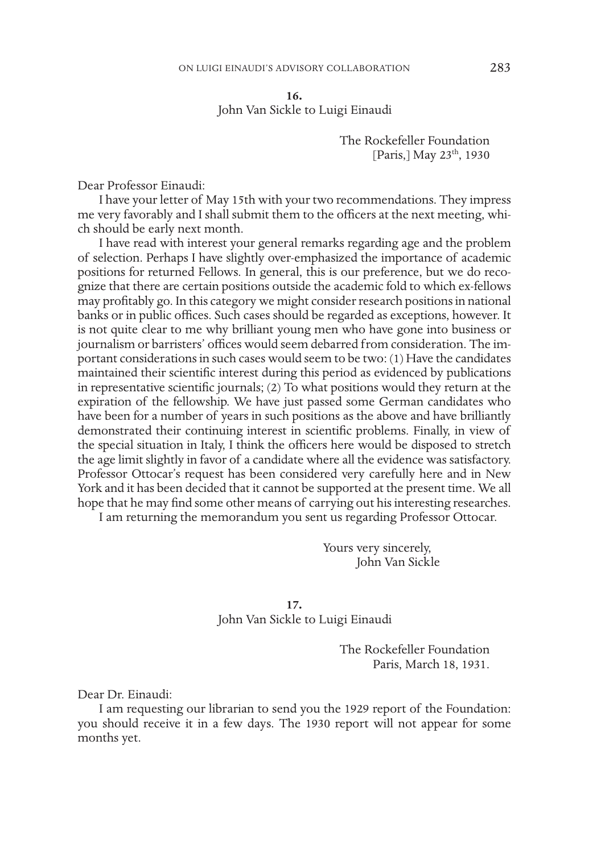**16.**

John Van Sickle to Luigi Einaudi

The Rockefeller Foundation [Paris,] May 23<sup>th</sup>, 1930

Dear Professor Einaudi:

I have your letter of May 15th with your two recommendations. They impress me very favorably and I shall submit them to the officers at the next meeting, which should be early next month.

I have read with interest your general remarks regarding age and the problem of selection. Perhaps I have slightly over-emphasized the importance of academic positions for returned Fellows. In general, this is our preference, but we do recognize that there are certain positions outside the academic fold to which ex-fellows may profitably go. In this category we might consider research positions in national banks or in public offices. Such cases should be regarded as exceptions, however. It is not quite clear to me why brilliant young men who have gone into business or journalism or barristers' offices would seem debarred from consideration. The important considerations in such cases would seem to be two: (1) Have the candidates maintained their scientific interest during this period as evidenced by publications in representative scientific journals; (2) To what positions would they return at the expiration of the fellowship. We have just passed some German candidates who have been for a number of years in such positions as the above and have brilliantly demonstrated their continuing interest in scientific problems. Finally, in view of the special situation in Italy, I think the officers here would be disposed to stretch the age limit slightly in favor of a candidate where all the evidence was satisfactory. Professor Ottocar's request has been considered very carefully here and in New York and it has been decided that it cannot be supported at the present time. We all hope that he may find some other means of carrying out his interesting researches.

I am returning the memorandum you sent us regarding Professor Ottocar.

Yours very sincerely, John Van Sickle

**17.** John Van Sickle to Luigi Einaudi

> The Rockefeller Foundation Paris, March 18, 1931.

Dear Dr. Einaudi:

I am requesting our librarian to send you the 1929 report of the Foundation: you should receive it in a few days. The 1930 report will not appear for some months yet.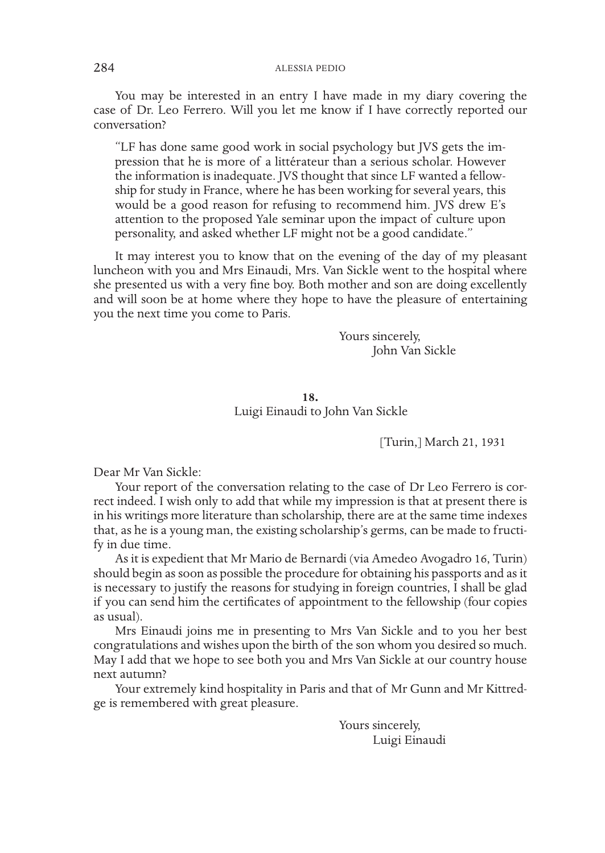## 284 ALESSIA PEDIO

You may be interested in an entry I have made in my diary covering the case of Dr. Leo Ferrero. Will you let me know if I have correctly reported our conversation?

"LF has done same good work in social psychology but JVS gets the impression that he is more of a littérateur than a serious scholar. However the information is inadequate. JVS thought that since LF wanted a fellowship for study in France, where he has been working for several years, this would be a good reason for refusing to recommend him. JVS drew E's attention to the proposed Yale seminar upon the impact of culture upon personality, and asked whether LF might not be a good candidate."

It may interest you to know that on the evening of the day of my pleasant luncheon with you and Mrs Einaudi, Mrs. Van Sickle went to the hospital where she presented us with a very fine boy. Both mother and son are doing excellently and will soon be at home where they hope to have the pleasure of entertaining you the next time you come to Paris.

> Yours sincerely, John Van Sickle

**18.** Luigi Einaudi to John Van Sickle

[Turin,] March 21, 1931

Dear Mr Van Sickle:

Your report of the conversation relating to the case of Dr Leo Ferrero is correct indeed. I wish only to add that while my impression is that at present there is in his writings more literature than scholarship, there are at the same time indexes that, as he is a young man, the existing scholarship's germs, can be made to fructify in due time.

As it is expedient that Mr Mario de Bernardi (via Amedeo Avogadro 16, Turin) should begin as soon as possible the procedure for obtaining his passports and as it is necessary to justify the reasons for studying in foreign countries, I shall be glad if you can send him the certificates of appointment to the fellowship (four copies as usual).

Mrs Einaudi joins me in presenting to Mrs Van Sickle and to you her best congratulations and wishes upon the birth of the son whom you desired so much. May I add that we hope to see both you and Mrs Van Sickle at our country house next autumn?

Your extremely kind hospitality in Paris and that of Mr Gunn and Mr Kittredge is remembered with great pleasure.

> Yours sincerely, Luigi Einaudi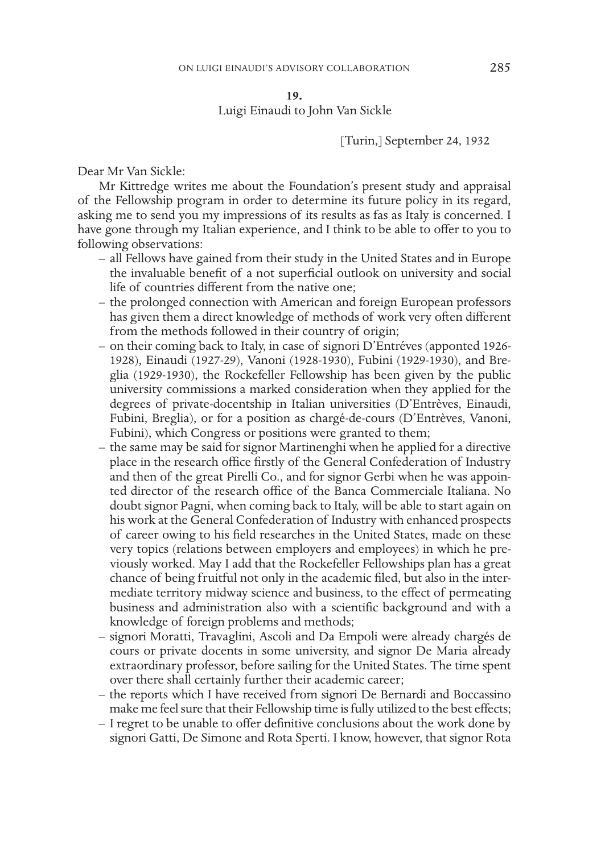**19.**

Luigi Einaudi to John Van Sickle

## [Turin,] September 24, 1932

Dear Mr Van Sickle:

Mr Kittredge writes me about the Foundation's present study and appraisal of the Fellowship program in order to determine its future policy in its regard, asking me to send you my impressions of its results as fas as Italy is concerned. I have gone through my Italian experience, and I think to be able to offer to you to following observations:

- all Fellows have gained from their study in the United States and in Europe the invaluable benefit of a not superficial outlook on university and social life of countries different from the native one;
- the prolonged connection with American and foreign European professors has given them a direct knowledge of methods of work very often different from the methods followed in their country of origin;
- on their coming back to Italy, in case of signori D'Entréves (apponted 1926- 1928), Einaudi (1927-29), Vanoni (1928-1930), Fubini (1929-1930), and Breglia (1929-1930), the Rockefeller Fellowship has been given by the public university commissions a marked consideration when they applied for the degrees of private-docentship in Italian universities (D'Entrèves, Einaudi, Fubini, Breglia), or for a position as chargé-de-cours (D'Entrèves, Vanoni, Fubini), which Congress or positions were granted to them;
- the same may be said for signor Martinenghi when he applied for a directive place in the research office firstly of the General Confederation of Industry and then of the great Pirelli Co., and for signor Gerbi when he was appointed director of the research office of the Banca Commerciale Italiana. No doubt signor Pagni, when coming back to Italy, will be able to start again on his work at the General Confederation of Industry with enhanced prospects of career owing to his field researches in the United States, made on these very topics (relations between employers and employees) in which he previously worked. May I add that the Rockefeller Fellowships plan has a great chance of being fruitful not only in the academic filed, but also in the intermediate territory midway science and business, to the effect of permeating business and administration also with a scientific background and with a knowledge of foreign problems and methods;
- signori Moratti, Travaglini, Ascoli and Da Empoli were already chargés de cours or private docents in some university, and signor De Maria already extraordinary professor, before sailing for the United States. The time spent over there shall certainly further their academic career;
- the reports which I have received from signori De Bernardi and Boccassino make me feel sure that their Fellowship time is fully utilized to the best effects;
- I regret to be unable to offer definitive conclusions about the work done by signori Gatti, De Simone and Rota Sperti. I know, however, that signor Rota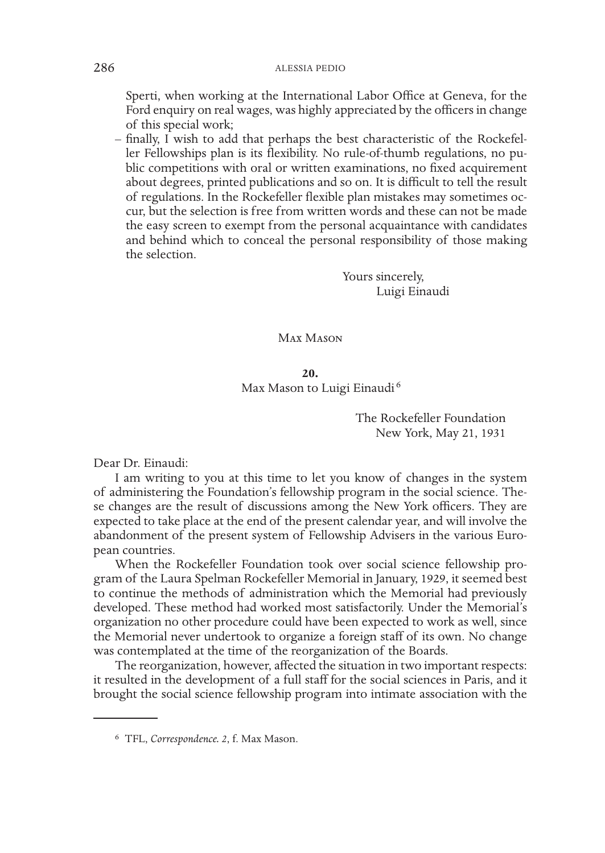Sperti, when working at the International Labor Office at Geneva, for the Ford enquiry on real wages, was highly appreciated by the officers in change of this special work;

– finally, I wish to add that perhaps the best characteristic of the Rockefeller Fellowships plan is its flexibility. No rule-of-thumb regulations, no public competitions with oral or written examinations, no fixed acquirement about degrees, printed publications and so on. It is difficult to tell the result of regulations. In the Rockefeller flexible plan mistakes may sometimes occur, but the selection is free from written words and these can not be made the easy screen to exempt from the personal acquaintance with candidates and behind which to conceal the personal responsibility of those making the selection.

> Yours sincerely, Luigi Einaudi

Max Mason

**20.** Max Mason to Luigi Einaudi <sup>6</sup>

> The Rockefeller Foundation New York, May 21, 1931

Dear Dr. Einaudi:

I am writing to you at this time to let you know of changes in the system of administering the Foundation's fellowship program in the social science. These changes are the result of discussions among the New York officers. They are expected to take place at the end of the present calendar year, and will involve the abandonment of the present system of Fellowship Advisers in the various European countries.

When the Rockefeller Foundation took over social science fellowship program of the Laura Spelman Rockefeller Memorial in January, 1929, it seemed best to continue the methods of administration which the Memorial had previously developed. These method had worked most satisfactorily. Under the Memorial's organization no other procedure could have been expected to work as well, since the Memorial never undertook to organize a foreign staff of its own. No change was contemplated at the time of the reorganization of the Boards.

The reorganization, however, affected the situation in two important respects: it resulted in the development of a full staff for the social sciences in Paris, and it brought the social science fellowship program into intimate association with the

<sup>6</sup> TFL, *Correspondence. 2*, f. Max Mason.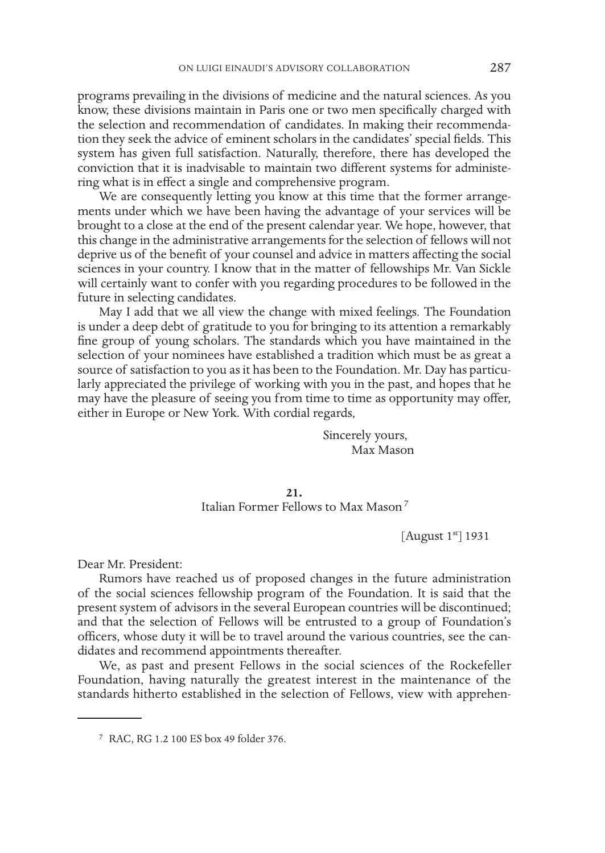programs prevailing in the divisions of medicine and the natural sciences. As you know, these divisions maintain in Paris one or two men specifically charged with the selection and recommendation of candidates. In making their recommendation they seek the advice of eminent scholars in the candidates' special fields. This system has given full satisfaction. Naturally, therefore, there has developed the conviction that it is inadvisable to maintain two different systems for administering what is in effect a single and comprehensive program.

We are consequently letting you know at this time that the former arrangements under which we have been having the advantage of your services will be brought to a close at the end of the present calendar year. We hope, however, that this change in the administrative arrangements for the selection of fellows will not deprive us of the benefit of your counsel and advice in matters affecting the social sciences in your country. I know that in the matter of fellowships Mr. Van Sickle will certainly want to confer with you regarding procedures to be followed in the future in selecting candidates.

May I add that we all view the change with mixed feelings. The Foundation is under a deep debt of gratitude to you for bringing to its attention a remarkably fine group of young scholars. The standards which you have maintained in the selection of your nominees have established a tradition which must be as great a source of satisfaction to you as it has been to the Foundation. Mr. Day has particularly appreciated the privilege of working with you in the past, and hopes that he may have the pleasure of seeing you from time to time as opportunity may offer, either in Europe or New York. With cordial regards,

> Sincerely yours, Max Mason

# **21.**

Italian Former Fellows to Max Mason<sup>7</sup>

[August 1st] 1931

Dear Mr. President:

Rumors have reached us of proposed changes in the future administration of the social sciences fellowship program of the Foundation. It is said that the present system of advisors in the several European countries will be discontinued; and that the selection of Fellows will be entrusted to a group of Foundation's officers, whose duty it will be to travel around the various countries, see the candidates and recommend appointments thereafter.

We, as past and present Fellows in the social sciences of the Rockefeller Foundation, having naturally the greatest interest in the maintenance of the standards hitherto established in the selection of Fellows, view with apprehen-

<sup>7</sup> RAC, RG 1.2 100 ES box 49 folder 376.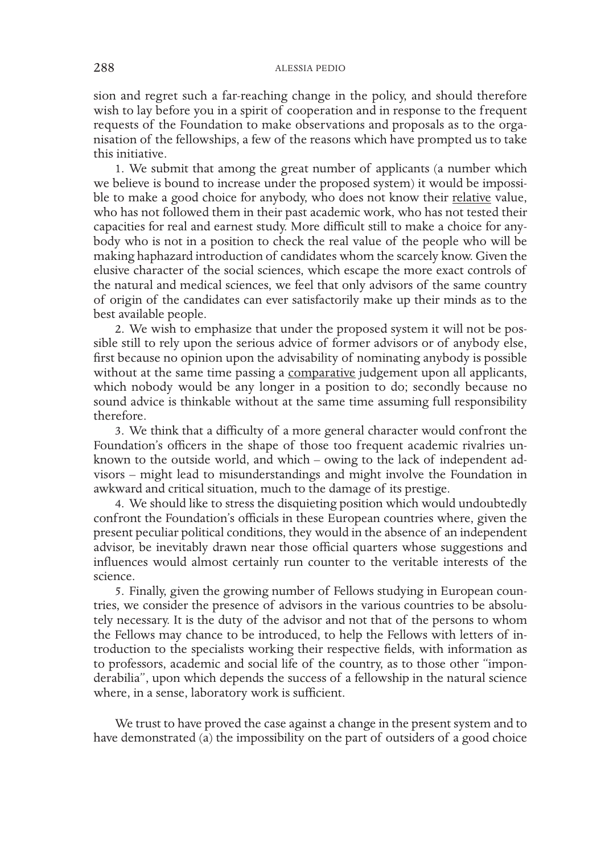sion and regret such a far-reaching change in the policy, and should therefore wish to lay before you in a spirit of cooperation and in response to the frequent requests of the Foundation to make observations and proposals as to the organisation of the fellowships, a few of the reasons which have prompted us to take this initiative.

1. We submit that among the great number of applicants (a number which we believe is bound to increase under the proposed system) it would be impossible to make a good choice for anybody, who does not know their relative value, who has not followed them in their past academic work, who has not tested their capacities for real and earnest study. More difficult still to make a choice for anybody who is not in a position to check the real value of the people who will be making haphazard introduction of candidates whom the scarcely know. Given the elusive character of the social sciences, which escape the more exact controls of the natural and medical sciences, we feel that only advisors of the same country of origin of the candidates can ever satisfactorily make up their minds as to the best available people.

2. We wish to emphasize that under the proposed system it will not be possible still to rely upon the serious advice of former advisors or of anybody else, first because no opinion upon the advisability of nominating anybody is possible without at the same time passing a comparative judgement upon all applicants, which nobody would be any longer in a position to do; secondly because no sound advice is thinkable without at the same time assuming full responsibility therefore.

3. We think that a difficulty of a more general character would confront the Foundation's officers in the shape of those too frequent academic rivalries unknown to the outside world, and which – owing to the lack of independent advisors – might lead to misunderstandings and might involve the Foundation in awkward and critical situation, much to the damage of its prestige.

4. We should like to stress the disquieting position which would undoubtedly confront the Foundation's officials in these European countries where, given the present peculiar political conditions, they would in the absence of an independent advisor, be inevitably drawn near those official quarters whose suggestions and influences would almost certainly run counter to the veritable interests of the science.

5. Finally, given the growing number of Fellows studying in European countries, we consider the presence of advisors in the various countries to be absolutely necessary. It is the duty of the advisor and not that of the persons to whom the Fellows may chance to be introduced, to help the Fellows with letters of introduction to the specialists working their respective fields, with information as to professors, academic and social life of the country, as to those other "imponderabilia", upon which depends the success of a fellowship in the natural science where, in a sense, laboratory work is sufficient.

We trust to have proved the case against a change in the present system and to have demonstrated (a) the impossibility on the part of outsiders of a good choice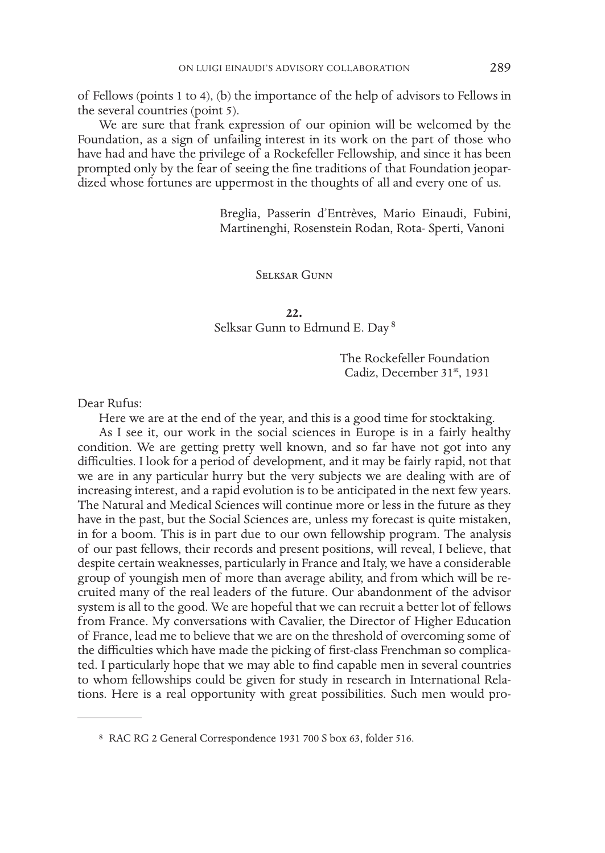of Fellows (points 1 to 4), (b) the importance of the help of advisors to Fellows in the several countries (point 5).

We are sure that frank expression of our opinion will be welcomed by the Foundation, as a sign of unfailing interest in its work on the part of those who have had and have the privilege of a Rockefeller Fellowship, and since it has been prompted only by the fear of seeing the fine traditions of that Foundation jeopardized whose fortunes are uppermost in the thoughts of all and every one of us.

> Breglia, Passerin d'Entrèves, Mario Einaudi, Fubini, Martinenghi, Rosenstein Rodan, Rota- Sperti, Vanoni

#### Selksar Gunn

#### **22.**

Selksar Gunn to Edmund E. Day <sup>8</sup>

The Rockefeller Foundation Cadiz, December 31st, 1931

### Dear Rufus:

Here we are at the end of the year, and this is a good time for stocktaking.

As I see it, our work in the social sciences in Europe is in a fairly healthy condition. We are getting pretty well known, and so far have not got into any difficulties. I look for a period of development, and it may be fairly rapid, not that we are in any particular hurry but the very subjects we are dealing with are of increasing interest, and a rapid evolution is to be anticipated in the next few years. The Natural and Medical Sciences will continue more or less in the future as they have in the past, but the Social Sciences are, unless my forecast is quite mistaken, in for a boom. This is in part due to our own fellowship program. The analysis of our past fellows, their records and present positions, will reveal, I believe, that despite certain weaknesses, particularly in France and Italy, we have a considerable group of youngish men of more than average ability, and from which will be recruited many of the real leaders of the future. Our abandonment of the advisor system is all to the good. We are hopeful that we can recruit a better lot of fellows from France. My conversations with Cavalier, the Director of Higher Education of France, lead me to believe that we are on the threshold of overcoming some of the difficulties which have made the picking of first-class Frenchman so complicated. I particularly hope that we may able to find capable men in several countries to whom fellowships could be given for study in research in International Relations. Here is a real opportunity with great possibilities. Such men would pro-

<sup>8</sup> RAC RG 2 General Correspondence 1931 700 S box 63, folder 516.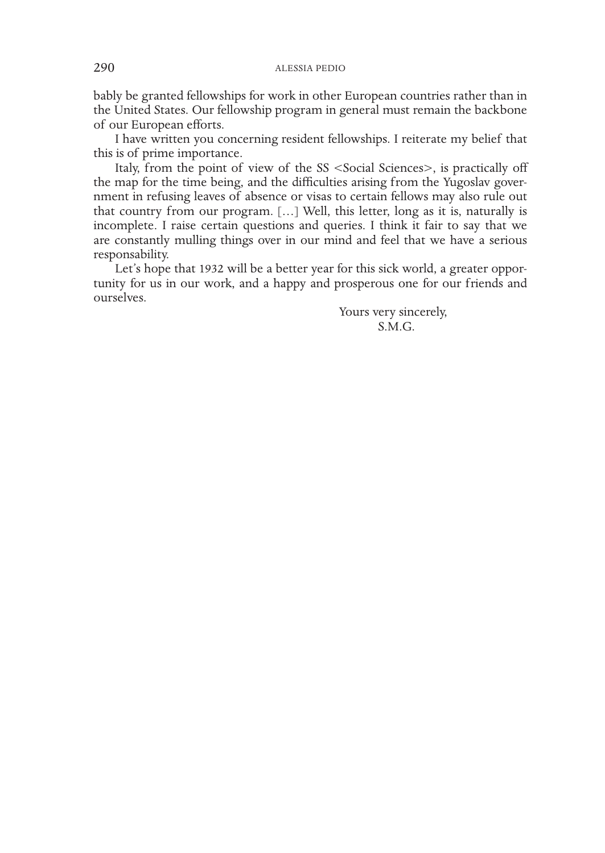bably be granted fellowships for work in other European countries rather than in the United States. Our fellowship program in general must remain the backbone of our European efforts.

I have written you concerning resident fellowships. I reiterate my belief that this is of prime importance.

Italy, from the point of view of the SS <Social Sciences>, is practically off the map for the time being, and the difficulties arising from the Yugoslav government in refusing leaves of absence or visas to certain fellows may also rule out that country from our program. […] Well, this letter, long as it is, naturally is incomplete. I raise certain questions and queries. I think it fair to say that we are constantly mulling things over in our mind and feel that we have a serious responsability.

Let's hope that 1932 will be a better year for this sick world, a greater opportunity for us in our work, and a happy and prosperous one for our friends and ourselves.

> Yours very sincerely, S.M.G.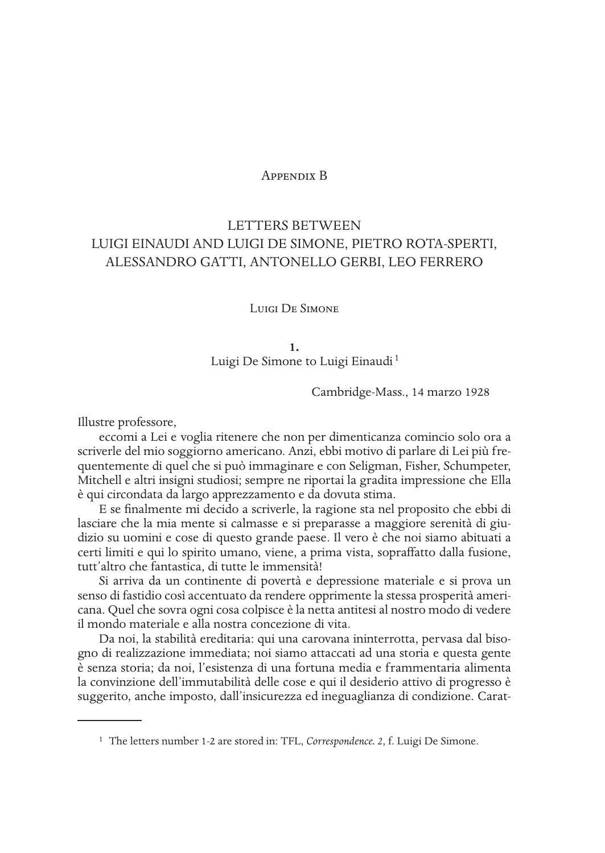# Appendix B

# LETTERS BETWEEN LUIGI EINAUDI AND LUIGI DE SIMONE, PIETRO ROTA-SPERTI, ALESSANDRO GATTI, ANTONELLO GERBI, LEO FERRERO

## Luigi De Simone

#### **1.**

Luigi De Simone to Luigi Einaudi<sup>1</sup>

Cambridge-Mass., 14 marzo 1928

Illustre professore,

eccomi a Lei e voglia ritenere che non per dimenticanza comincio solo ora a scriverle del mio soggiorno americano. Anzi, ebbi motivo di parlare di Lei più frequentemente di quel che si può immaginare e con Seligman, Fisher, Schumpeter, Mitchell e altri insigni studiosi; sempre ne riportai la gradita impressione che Ella è qui circondata da largo apprezzamento e da dovuta stima.

E se finalmente mi decido a scriverle, la ragione sta nel proposito che ebbi di lasciare che la mia mente si calmasse e si preparasse a maggiore serenità di giudizio su uomini e cose di questo grande paese. Il vero è che noi siamo abituati a certi limiti e qui lo spirito umano, viene, a prima vista, sopraffatto dalla fusione, tutt'altro che fantastica, di tutte le immensità!

Si arriva da un continente di povertà e depressione materiale e si prova un senso di fastidio così accentuato da rendere opprimente la stessa prosperità americana. Quel che sovra ogni cosa colpisce è la netta antitesi al nostro modo di vedere il mondo materiale e alla nostra concezione di vita.

Da noi, la stabilità ereditaria: qui una carovana ininterrotta, pervasa dal bisogno di realizzazione immediata; noi siamo attaccati ad una storia e questa gente è senza storia; da noi, l'esistenza di una fortuna media e frammentaria alimenta la convinzione dell'immutabilità delle cose e qui il desiderio attivo di progresso è suggerito, anche imposto, dall'insicurezza ed ineguaglianza di condizione. Carat-

<sup>1</sup> The letters number 1-2 are stored in: TFL, *Correspondence. 2*, f. Luigi De Simone.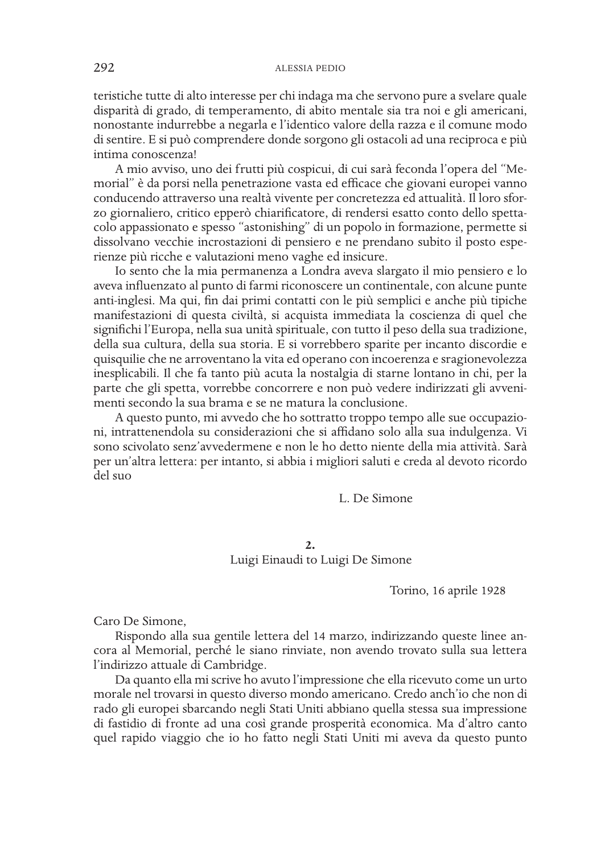teristiche tutte di alto interesse per chi indaga ma che servono pure a svelare quale disparità di grado, di temperamento, di abito mentale sia tra noi e gli americani, nonostante indurrebbe a negarla e l'identico valore della razza e il comune modo di sentire. E si può comprendere donde sorgono gli ostacoli ad una reciproca e più intima conoscenza!

A mio avviso, uno dei frutti più cospicui, di cui sarà feconda l'opera del "Memorial" è da porsi nella penetrazione vasta ed efficace che giovani europei vanno conducendo attraverso una realtà vivente per concretezza ed attualità. Il loro sforzo giornaliero, critico epperò chiarificatore, di rendersi esatto conto dello spettacolo appassionato e spesso "astonishing" di un popolo in formazione, permette si dissolvano vecchie incrostazioni di pensiero e ne prendano subito il posto esperienze più ricche e valutazioni meno vaghe ed insicure.

Io sento che la mia permanenza a Londra aveva slargato il mio pensiero e lo aveva influenzato al punto di farmi riconoscere un continentale, con alcune punte anti-inglesi. Ma qui, fin dai primi contatti con le più semplici e anche più tipiche manifestazioni di questa civiltà, si acquista immediata la coscienza di quel che significhi l'Europa, nella sua unità spirituale, con tutto il peso della sua tradizione, della sua cultura, della sua storia. E si vorrebbero sparite per incanto discordie e quisquilie che ne arroventano la vita ed operano con incoerenza e sragionevolezza inesplicabili. Il che fa tanto più acuta la nostalgia di starne lontano in chi, per la parte che gli spetta, vorrebbe concorrere e non può vedere indirizzati gli avvenimenti secondo la sua brama e se ne matura la conclusione.

A questo punto, mi avvedo che ho sottratto troppo tempo alle sue occupazioni, intrattenendola su considerazioni che si affidano solo alla sua indulgenza. Vi sono scivolato senz'avvedermene e non le ho detto niente della mia attività. Sarà per un'altra lettera: per intanto, si abbia i migliori saluti e creda al devoto ricordo del suo

# L. De Simone

### **2.** Luigi Einaudi to Luigi De Simone

Torino, 16 aprile 1928

Caro De Simone,

Rispondo alla sua gentile lettera del 14 marzo, indirizzando queste linee ancora al Memorial, perché le siano rinviate, non avendo trovato sulla sua lettera l'indirizzo attuale di Cambridge.

Da quanto ella mi scrive ho avuto l'impressione che ella ricevuto come un urto morale nel trovarsi in questo diverso mondo americano. Credo anch'io che non di rado gli europei sbarcando negli Stati Uniti abbiano quella stessa sua impressione di fastidio di fronte ad una così grande prosperità economica. Ma d'altro canto quel rapido viaggio che io ho fatto negli Stati Uniti mi aveva da questo punto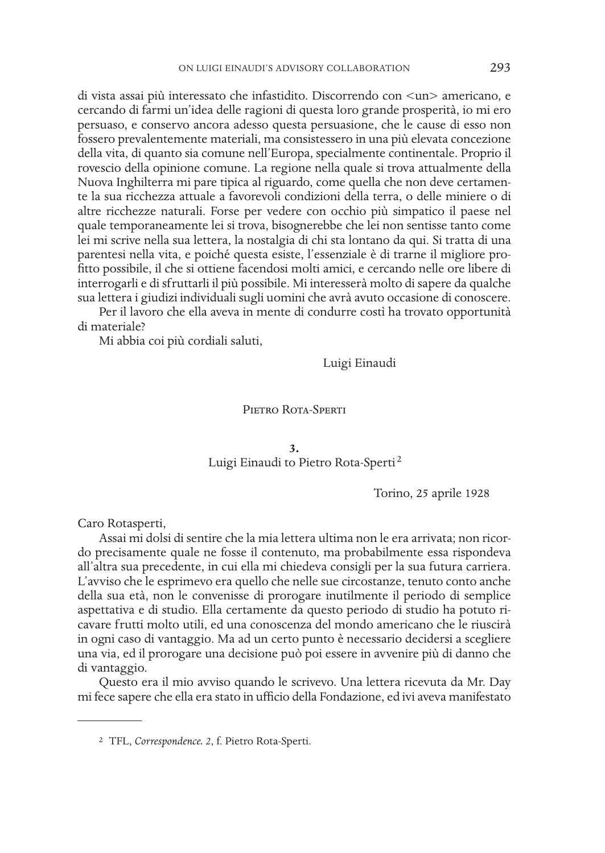di vista assai più interessato che infastidito. Discorrendo con <un> americano, e cercando di farmi un'idea delle ragioni di questa loro grande prosperità, io mi ero persuaso, e conservo ancora adesso questa persuasione, che le cause di esso non fossero prevalentemente materiali, ma consistessero in una più elevata concezione della vita, di quanto sia comune nell'Europa, specialmente continentale. Proprio il rovescio della opinione comune. La regione nella quale si trova attualmente della Nuova Inghilterra mi pare tipica al riguardo, come quella che non deve certamente la sua ricchezza attuale a favorevoli condizioni della terra, o delle miniere o di altre ricchezze naturali. Forse per vedere con occhio più simpatico il paese nel quale temporaneamente lei si trova, bisognerebbe che lei non sentisse tanto come lei mi scrive nella sua lettera, la nostalgia di chi sta lontano da qui. Si tratta di una parentesi nella vita, e poiché questa esiste, l'essenziale è di trarne il migliore profitto possibile, il che si ottiene facendosi molti amici, e cercando nelle ore libere di interrogarli e di sfruttarli il più possibile. Mi interesserà molto di sapere da qualche sua lettera i giudizi individuali sugli uomini che avrà avuto occasione di conoscere.

Per il lavoro che ella aveva in mente di condurre costì ha trovato opportunità di materiale?

Mi abbia coi più cordiali saluti,

Luigi Einaudi

## PIETRO ROTA-SPERTI

# **3.** Luigi Einaudi to Pietro Rota-Sperti<sup>2</sup>

Torino, 25 aprile 1928

Caro Rotasperti,

Assai mi dolsi di sentire che la mia lettera ultima non le era arrivata; non ricordo precisamente quale ne fosse il contenuto, ma probabilmente essa rispondeva all'altra sua precedente, in cui ella mi chiedeva consigli per la sua futura carriera. L'avviso che le esprimevo era quello che nelle sue circostanze, tenuto conto anche della sua età, non le convenisse di prorogare inutilmente il periodo di semplice aspettativa e di studio. Ella certamente da questo periodo di studio ha potuto ricavare frutti molto utili, ed una conoscenza del mondo americano che le riuscirà in ogni caso di vantaggio. Ma ad un certo punto è necessario decidersi a scegliere una via, ed il prorogare una decisione può poi essere in avvenire più di danno che di vantaggio.

Questo era il mio avviso quando le scrivevo. Una lettera ricevuta da Mr. Day mi fece sapere che ella era stato in ufficio della Fondazione, ed ivi aveva manifestato

<sup>2</sup> TFL, *Correspondence. 2*, f. Pietro Rota-Sperti.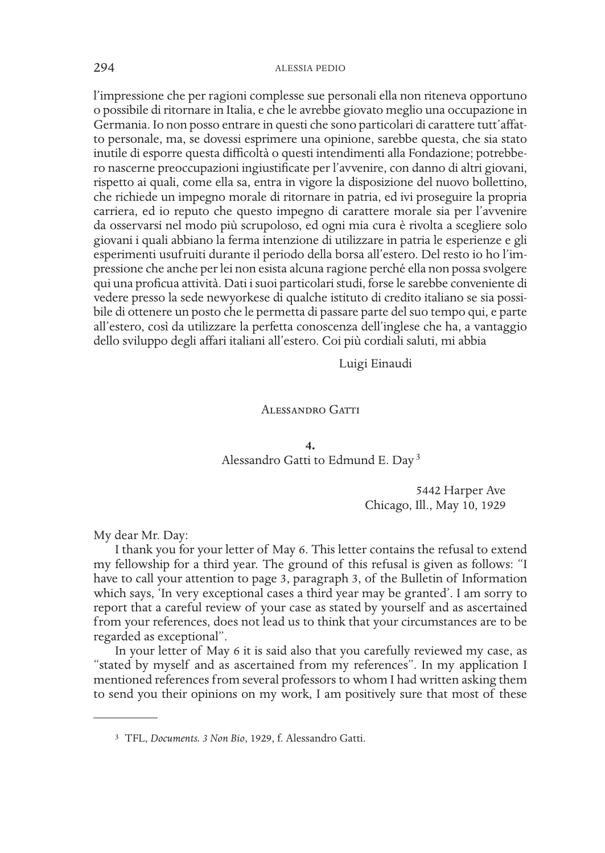l'impressione che per ragioni complesse sue personali ella non riteneva opportuno o possibile di ritornare in Italia, e che le avrebbe giovato meglio una occupazione in Germania. Io non posso entrare in questi che sono particolari di carattere tutt'affatto personale, ma, se dovessi esprimere una opinione, sarebbe questa, che sia stato inutile di esporre questa difficoltà o questi intendimenti alla Fondazione; potrebbero nascerne preoccupazioni ingiustificate per l'avvenire, con danno di altri giovani, rispetto ai quali, come ella sa, entra in vigore la disposizione del nuovo bollettino, che richiede un impegno morale di ritornare in patria, ed ivi proseguire la propria carriera, ed io reputo che questo impegno di carattere morale sia per l'avvenire da osservarsi nel modo più scrupoloso, ed ogni mia cura è rivolta a scegliere solo giovani i quali abbiano la ferma intenzione di utilizzare in patria le esperienze e gli esperimenti usufruiti durante il periodo della borsa all'estero. Del resto io ho l'impressione che anche per lei non esista alcuna ragione perché ella non possa svolgere qui una proficua attività. Dati i suoi particolari studi, forse le sarebbe conveniente di vedere presso la sede newyorkese di qualche istituto di credito italiano se sia possibile di ottenere un posto che le permetta di passare parte del suo tempo qui, e parte all'estero, così da utilizzare la perfetta conoscenza dell'inglese che ha, a vantaggio dello sviluppo degli affari italiani all'estero. Coi più cordiali saluti, mi abbia

Luigi Einaudi

#### Alessandro Gatti

**4.** Alessandro Gatti to Edmund E. Day <sup>3</sup>

> 5442 Harper Ave Chicago, Ill., May 10, 1929

My dear Mr. Day:

I thank you for your letter of May 6. This letter contains the refusal to extend my fellowship for a third year. The ground of this refusal is given as follows: "I have to call your attention to page 3, paragraph 3, of the Bulletin of Information which says, 'In very exceptional cases a third year may be granted'. I am sorry to report that a careful review of your case as stated by yourself and as ascertained from your references, does not lead us to think that your circumstances are to be regarded as exceptional".

In your letter of May 6 it is said also that you carefully reviewed my case, as "stated by myself and as ascertained from my references". In my application I mentioned references from several professors to whom I had written asking them to send you their opinions on my work, I am positively sure that most of these

<sup>3</sup> TFL, *Documents. 3 Non Bio*, 1929, f. Alessandro Gatti.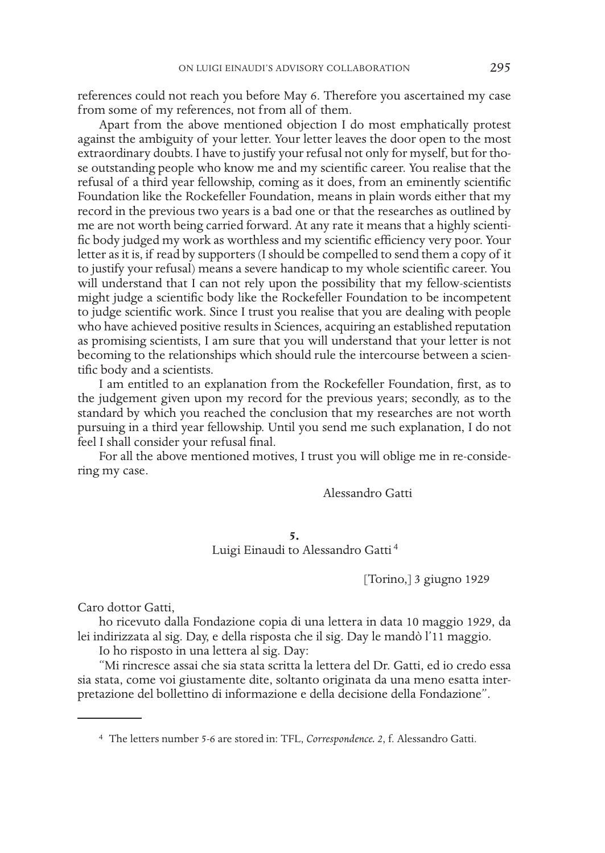references could not reach you before May 6. Therefore you ascertained my case from some of my references, not from all of them.

Apart from the above mentioned objection I do most emphatically protest against the ambiguity of your letter. Your letter leaves the door open to the most extraordinary doubts. I have to justify your refusal not only for myself, but for those outstanding people who know me and my scientific career. You realise that the refusal of a third year fellowship, coming as it does, from an eminently scientific Foundation like the Rockefeller Foundation, means in plain words either that my record in the previous two years is a bad one or that the researches as outlined by me are not worth being carried forward. At any rate it means that a highly scientific body judged my work as worthless and my scientific efficiency very poor. Your letter as it is, if read by supporters (I should be compelled to send them a copy of it to justify your refusal) means a severe handicap to my whole scientific career. You will understand that I can not rely upon the possibility that my fellow-scientists might judge a scientific body like the Rockefeller Foundation to be incompetent to judge scientific work. Since I trust you realise that you are dealing with people who have achieved positive results in Sciences, acquiring an established reputation as promising scientists, I am sure that you will understand that your letter is not becoming to the relationships which should rule the intercourse between a scientific body and a scientists.

I am entitled to an explanation from the Rockefeller Foundation, first, as to the judgement given upon my record for the previous years; secondly, as to the standard by which you reached the conclusion that my researches are not worth pursuing in a third year fellowship. Until you send me such explanation, I do not feel I shall consider your refusal final.

For all the above mentioned motives, I trust you will oblige me in re-considering my case.

Alessandro Gatti

**5.** Luigi Einaudi to Alessandro Gatti <sup>4</sup>

[Torino,] 3 giugno 1929

Caro dottor Gatti,

ho ricevuto dalla Fondazione copia di una lettera in data 10 maggio 1929, da lei indirizzata al sig. Day, e della risposta che il sig. Day le mandò l'11 maggio.

Io ho risposto in una lettera al sig. Day:

"Mi rincresce assai che sia stata scritta la lettera del Dr. Gatti, ed io credo essa sia stata, come voi giustamente dite, soltanto originata da una meno esatta interpretazione del bollettino di informazione e della decisione della Fondazione".

4 The letters number 5-6 are stored in: TFL, *Correspondence. 2*, f. Alessandro Gatti.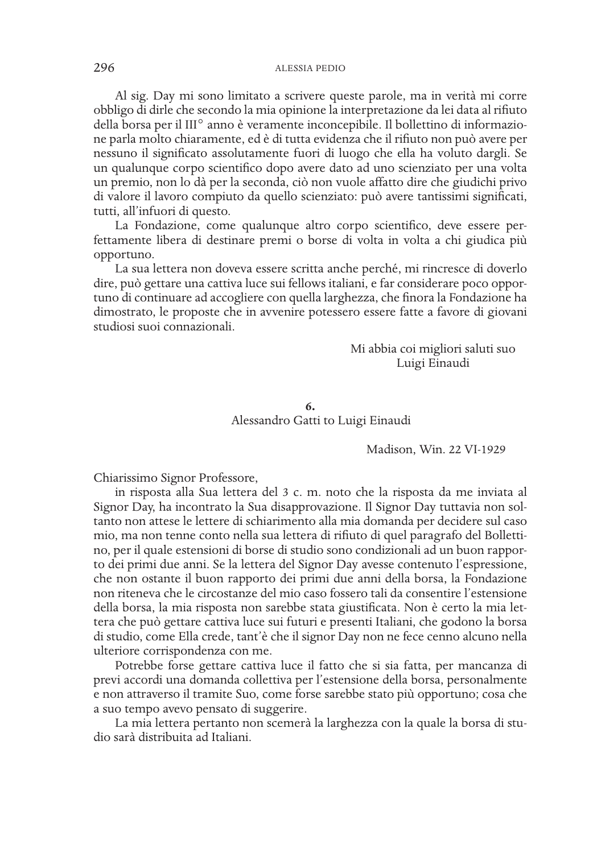Al sig. Day mi sono limitato a scrivere queste parole, ma in verità mi corre obbligo di dirle che secondo la mia opinione la interpretazione da lei data al rifiuto della borsa per il III° anno è veramente inconcepibile. Il bollettino di informazione parla molto chiaramente, ed è di tutta evidenza che il rifiuto non può avere per nessuno il significato assolutamente fuori di luogo che ella ha voluto dargli. Se un qualunque corpo scientifico dopo avere dato ad uno scienziato per una volta un premio, non lo dà per la seconda, ciò non vuole affatto dire che giudichi privo di valore il lavoro compiuto da quello scienziato: può avere tantissimi significati, tutti, all'infuori di questo.

La Fondazione, come qualunque altro corpo scientifico, deve essere perfettamente libera di destinare premi o borse di volta in volta a chi giudica più opportuno.

La sua lettera non doveva essere scritta anche perché, mi rincresce di doverlo dire, può gettare una cattiva luce sui fellows italiani, e far considerare poco opportuno di continuare ad accogliere con quella larghezza, che finora la Fondazione ha dimostrato, le proposte che in avvenire potessero essere fatte a favore di giovani studiosi suoi connazionali.

> Mi abbia coi migliori saluti suo Luigi Einaudi

**6.** Alessandro Gatti to Luigi Einaudi

Madison, Win. 22 VI-1929

Chiarissimo Signor Professore,

in risposta alla Sua lettera del 3 c. m. noto che la risposta da me inviata al Signor Day, ha incontrato la Sua disapprovazione. Il Signor Day tuttavia non soltanto non attese le lettere di schiarimento alla mia domanda per decidere sul caso mio, ma non tenne conto nella sua lettera di rifiuto di quel paragrafo del Bollettino, per il quale estensioni di borse di studio sono condizionali ad un buon rapporto dei primi due anni. Se la lettera del Signor Day avesse contenuto l'espressione, che non ostante il buon rapporto dei primi due anni della borsa, la Fondazione non riteneva che le circostanze del mio caso fossero tali da consentire l'estensione della borsa, la mia risposta non sarebbe stata giustificata. Non è certo la mia lettera che può gettare cattiva luce sui futuri e presenti Italiani, che godono la borsa di studio, come Ella crede, tant'è che il signor Day non ne fece cenno alcuno nella ulteriore corrispondenza con me.

Potrebbe forse gettare cattiva luce il fatto che si sia fatta, per mancanza di previ accordi una domanda collettiva per l'estensione della borsa, personalmente e non attraverso il tramite Suo, come forse sarebbe stato più opportuno; cosa che a suo tempo avevo pensato di suggerire.

La mia lettera pertanto non scemerà la larghezza con la quale la borsa di studio sarà distribuita ad Italiani.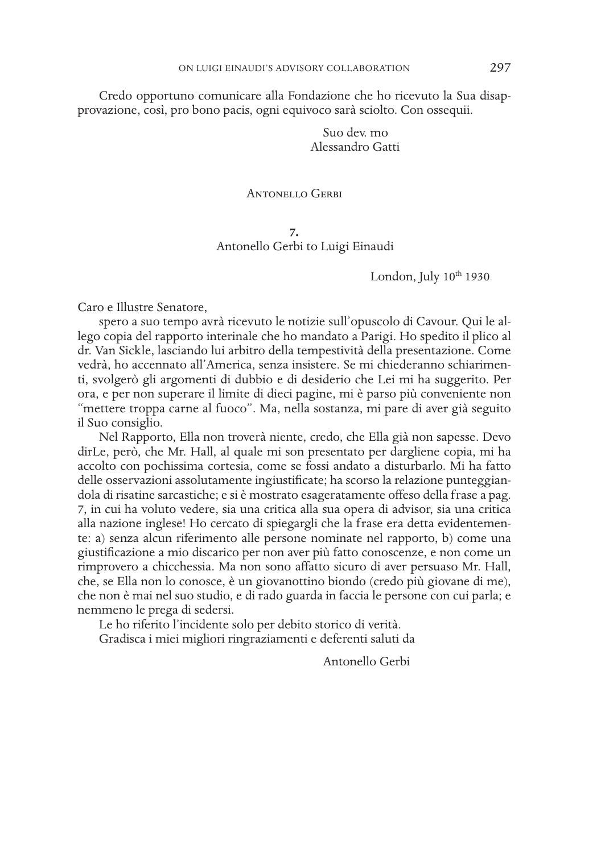Credo opportuno comunicare alla Fondazione che ho ricevuto la Sua disapprovazione, così, pro bono pacis, ogni equivoco sarà sciolto. Con ossequii.

> Suo dev. mo Alessandro Gatti

### Antonello Gerbi

**7.** Antonello Gerbi to Luigi Einaudi

London, July  $10^{th}$  1930

Caro e Illustre Senatore,

spero a suo tempo avrà ricevuto le notizie sull'opuscolo di Cavour. Qui le allego copia del rapporto interinale che ho mandato a Parigi. Ho spedito il plico al dr. Van Sickle, lasciando lui arbitro della tempestività della presentazione. Come vedrà, ho accennato all'America, senza insistere. Se mi chiederanno schiarimenti, svolgerò gli argomenti di dubbio e di desiderio che Lei mi ha suggerito. Per ora, e per non superare il limite di dieci pagine, mi è parso più conveniente non "mettere troppa carne al fuoco". Ma, nella sostanza, mi pare di aver già seguito il Suo consiglio.

Nel Rapporto, Ella non troverà niente, credo, che Ella già non sapesse. Devo dirLe, però, che Mr. Hall, al quale mi son presentato per dargliene copia, mi ha accolto con pochissima cortesia, come se fossi andato a disturbarlo. Mi ha fatto delle osservazioni assolutamente ingiustificate; ha scorso la relazione punteggiandola di risatine sarcastiche; e si è mostrato esageratamente offeso della frase a pag. 7, in cui ha voluto vedere, sia una critica alla sua opera di advisor, sia una critica alla nazione inglese! Ho cercato di spiegargli che la frase era detta evidentemente: a) senza alcun riferimento alle persone nominate nel rapporto, b) come una giustificazione a mio discarico per non aver più fatto conoscenze, e non come un rimprovero a chicchessia. Ma non sono affatto sicuro di aver persuaso Mr. Hall, che, se Ella non lo conosce, è un giovanottino biondo (credo più giovane di me), che non è mai nel suo studio, e di rado guarda in faccia le persone con cui parla; e nemmeno le prega di sedersi.

Le ho riferito l'incidente solo per debito storico di verità.

Gradisca i miei migliori ringraziamenti e deferenti saluti da

Antonello Gerbi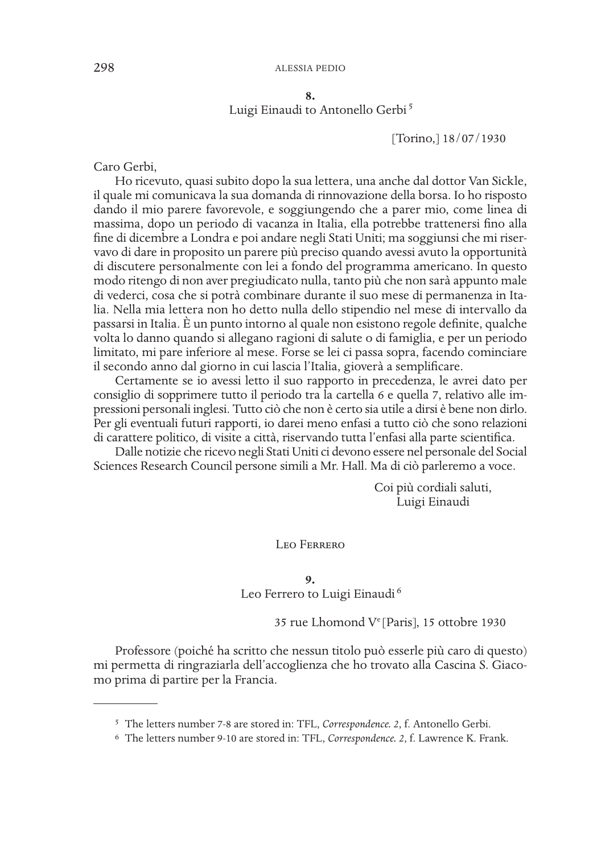**8.**

# Luigi Einaudi to Antonello Gerbi<sup>5</sup>

[Torino,] 18/07/1930

Caro Gerbi,

Ho ricevuto, quasi subito dopo la sua lettera, una anche dal dottor Van Sickle, il quale mi comunicava la sua domanda di rinnovazione della borsa. Io ho risposto dando il mio parere favorevole, e soggiungendo che a parer mio, come linea di massima, dopo un periodo di vacanza in Italia, ella potrebbe trattenersi fino alla fine di dicembre a Londra e poi andare negli Stati Uniti; ma soggiunsi che mi riservavo di dare in proposito un parere più preciso quando avessi avuto la opportunità di discutere personalmente con lei a fondo del programma americano. In questo modo ritengo di non aver pregiudicato nulla, tanto più che non sarà appunto male di vederci, cosa che si potrà combinare durante il suo mese di permanenza in Italia. Nella mia lettera non ho detto nulla dello stipendio nel mese di intervallo da passarsi in Italia. È un punto intorno al quale non esistono regole definite, qualche volta lo danno quando si allegano ragioni di salute o di famiglia, e per un periodo limitato, mi pare inferiore al mese. Forse se lei ci passa sopra, facendo cominciare il secondo anno dal giorno in cui lascia l'Italia, gioverà a semplificare.

Certamente se io avessi letto il suo rapporto in precedenza, le avrei dato per consiglio di sopprimere tutto il periodo tra la cartella 6 e quella 7, relativo alle impressioni personali inglesi. Tutto ciò che non è certo sia utile a dirsi è bene non dirlo. Per gli eventuali futuri rapporti, io darei meno enfasi a tutto ciò che sono relazioni di carattere politico, di visite a città, riservando tutta l'enfasi alla parte scientifica.

Dalle notizie che ricevo negli Stati Uniti ci devono essere nel personale del Social Sciences Research Council persone simili a Mr. Hall. Ma di ciò parleremo a voce.

> Coi più cordiali saluti, Luigi Einaudi

Leo Ferrero

**9.**

Leo Ferrero to Luigi Einaudi<sup>6</sup>

35 rue Lhomond Ve [Paris], 15 ottobre 1930

Professore (poiché ha scritto che nessun titolo può esserle più caro di questo) mi permetta di ringraziarla dell'accoglienza che ho trovato alla Cascina S. Giacomo prima di partire per la Francia.

<sup>5</sup> The letters number 7-8 are stored in: TFL, *Correspondence. 2*, f. Antonello Gerbi.

<sup>6</sup> The letters number 9-10 are stored in: TFL, *Correspondence. 2*, f. Lawrence K. Frank.